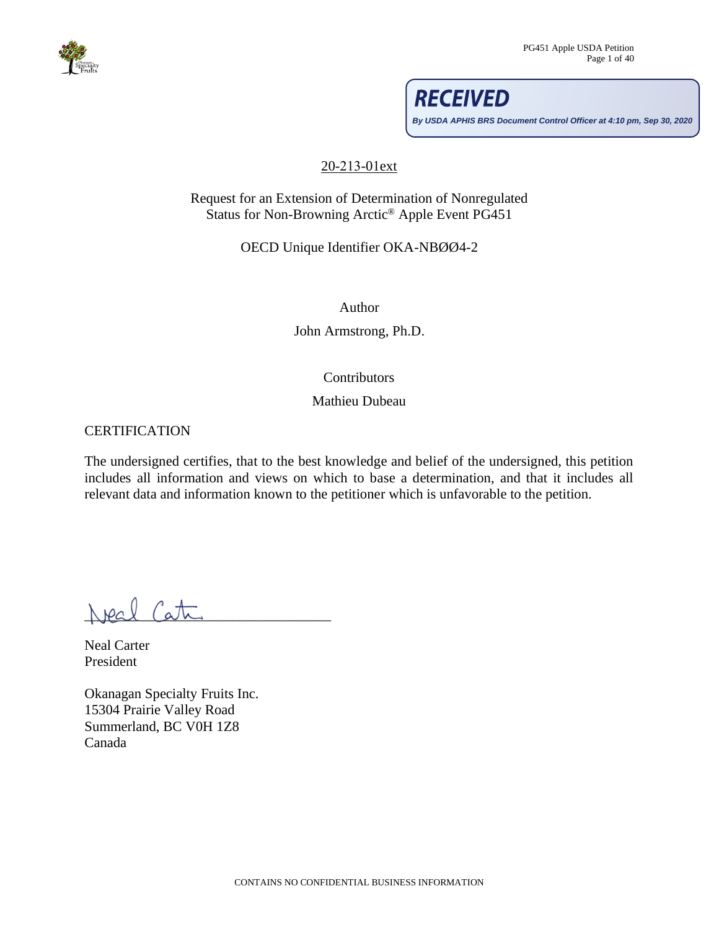

**By USDA APHIS BRS Document Control Officer at 4:10 pm, Sep 30, 2020**

**RECEIVED** 

### 20-213-01ext

Request for an Extension of Determination of Nonregulated Status for Non-Browning Arctic® Apple Event PG451

OECD Unique Identifier OKA-NBØØ4-2

Author

John Armstrong, Ph.D.

# **Contributors**

### Mathieu Dubeau

### <span id="page-0-0"></span>**CERTIFICATION**

The undersigned certifies, that to the best knowledge and belief of the undersigned, this petition includes all information and views on which to base a determination, and that it includes all relevant data and information known to the petitioner which is unfavorable to the petition.

 $N$ peal Cata

Neal Carter President

Okanagan Specialty Fruits Inc. 15304 Prairie Valley Road Summerland, BC V0H 1Z8 Canada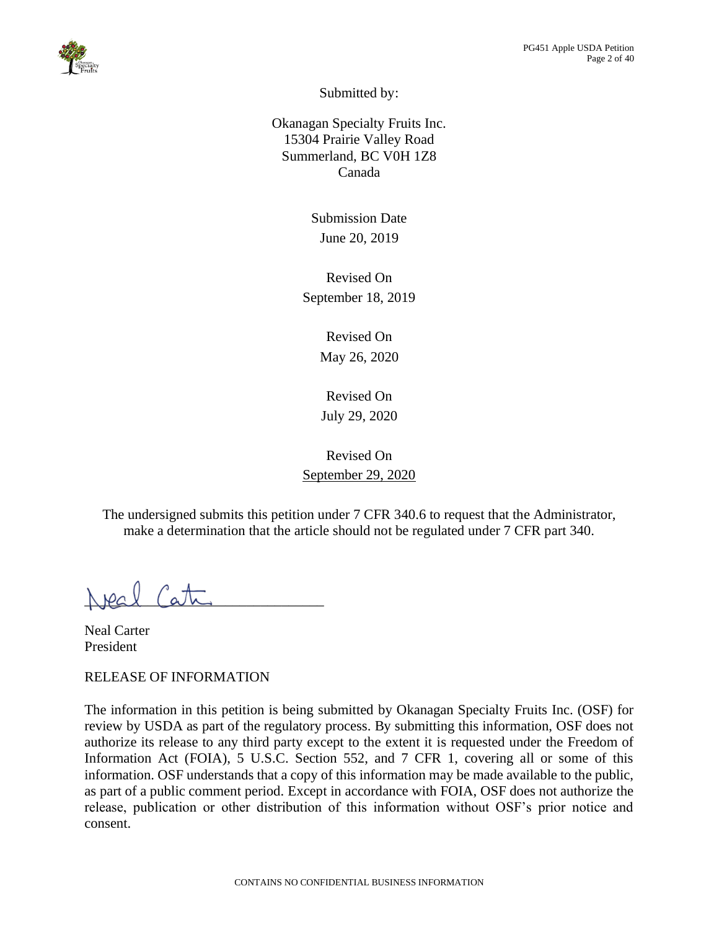

Submitted by:

Okanagan Specialty Fruits Inc. 15304 Prairie Valley Road Summerland, BC V0H 1Z8 Canada

> Submission Date June 20, 2019

Revised On September 18, 2019

> Revised On May 26, 2020

Revised On July 29, 2020

Revised On September 29, 2020

The undersigned submits this petition under 7 CFR 340.6 to request that the Administrator, make a determination that the article should not be regulated under 7 CFR part 340.

 $N$  pal  $(abc)$ 

Neal Carter President

<span id="page-1-0"></span>RELEASE OF INFORMATION

The information in this petition is being submitted by Okanagan Specialty Fruits Inc. (OSF) for review by USDA as part of the regulatory process. By submitting this information, OSF does not authorize its release to any third party except to the extent it is requested under the Freedom of Information Act (FOIA), 5 U.S.C. Section 552, and 7 CFR 1, covering all or some of this information. OSF understands that a copy of this information may be made available to the public, as part of a public comment period. Except in accordance with FOIA, OSF does not authorize the release, publication or other distribution of this information without OSF's prior notice and consent.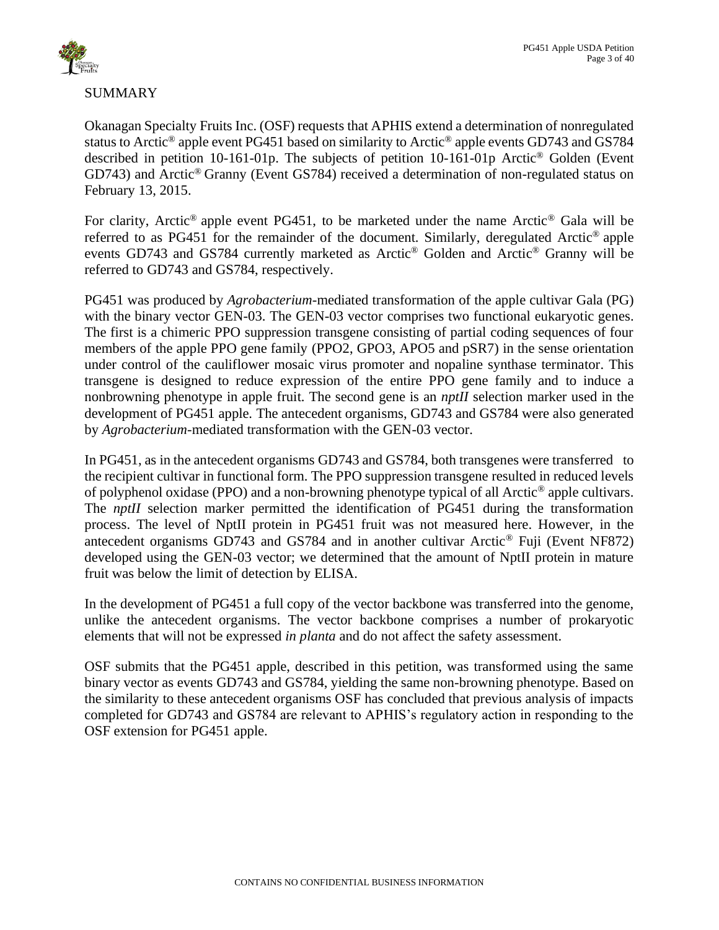

# <span id="page-2-0"></span>SUMMARY

Okanagan Specialty Fruits Inc. (OSF) requests that APHIS extend a determination of nonregulated status to Arctic® apple event PG451 based on similarity to Arctic® apple events GD743 and GS784 described in petition 10-161-01p. The subjects of petition 10-161-01p Arctic® Golden (Event GD743) and Arctic® Granny (Event GS784) received a determination of non-regulated status on February 13, 2015.

For clarity, Arctic<sup>®</sup> apple event PG451, to be marketed under the name Arctic<sup>®</sup> Gala will be referred to as PG451 for the remainder of the document. Similarly, deregulated Arctic® apple events GD743 and GS784 currently marketed as Arctic® Golden and Arctic® Granny will be referred to GD743 and GS784, respectively.

PG451 was produced by *Agrobacterium*-mediated transformation of the apple cultivar Gala (PG) with the binary vector GEN-03. The GEN-03 vector comprises two functional eukaryotic genes. The first is a chimeric PPO suppression transgene consisting of partial coding sequences of four members of the apple PPO gene family (PPO2, GPO3, APO5 and pSR7) in the sense orientation under control of the cauliflower mosaic virus promoter and nopaline synthase terminator. This transgene is designed to reduce expression of the entire PPO gene family and to induce a nonbrowning phenotype in apple fruit. The second gene is an *nptII* selection marker used in the development of PG451 apple. The antecedent organisms, GD743 and GS784 were also generated by *Agrobacterium*-mediated transformation with the GEN-03 vector.

In PG451, as in the antecedent organisms GD743 and GS784, both transgenes were transferred to the recipient cultivar in functional form. The PPO suppression transgene resulted in reduced levels of polyphenol oxidase (PPO) and a non-browning phenotype typical of all Arctic® apple cultivars. The *nptII* selection marker permitted the identification of PG451 during the transformation process. The level of NptII protein in PG451 fruit was not measured here. However, in the antecedent organisms GD743 and GS784 and in another cultivar Arctic® Fuji (Event NF872) developed using the GEN-03 vector; we determined that the amount of NptII protein in mature fruit was below the limit of detection by ELISA.

In the development of PG451 a full copy of the vector backbone was transferred into the genome, unlike the antecedent organisms. The vector backbone comprises a number of prokaryotic elements that will not be expressed *in planta* and do not affect the safety assessment.

OSF submits that the PG451 apple, described in this petition, was transformed using the same binary vector as events GD743 and GS784, yielding the same non-browning phenotype. Based on the similarity to these antecedent organisms OSF has concluded that previous analysis of impacts completed for GD743 and GS784 are relevant to APHIS's regulatory action in responding to the OSF extension for PG451 apple.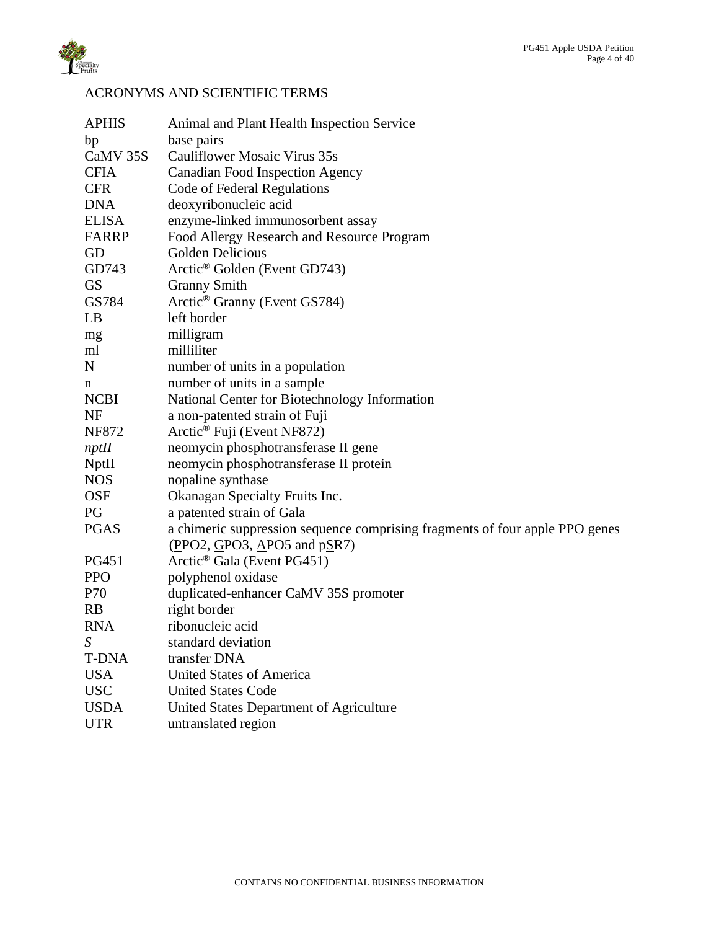

# <span id="page-3-0"></span>ACRONYMS AND SCIENTIFIC TERMS

| <b>APHIS</b> | Animal and Plant Health Inspection Service                                   |
|--------------|------------------------------------------------------------------------------|
| bp           | base pairs                                                                   |
| CaMV 35S     | Cauliflower Mosaic Virus 35s                                                 |
| <b>CFIA</b>  | <b>Canadian Food Inspection Agency</b>                                       |
| <b>CFR</b>   | Code of Federal Regulations                                                  |
| <b>DNA</b>   | deoxyribonucleic acid                                                        |
| <b>ELISA</b> | enzyme-linked immunosorbent assay                                            |
| <b>FARRP</b> | Food Allergy Research and Resource Program                                   |
| GD           | Golden Delicious                                                             |
| GD743        | Arctic <sup>®</sup> Golden (Event GD743)                                     |
| <b>GS</b>    | <b>Granny Smith</b>                                                          |
| GS784        | Arctic <sup>®</sup> Granny (Event GS784)                                     |
| LB           | left border                                                                  |
| mg           | milligram                                                                    |
| ml           | milliliter                                                                   |
| ${\bf N}$    | number of units in a population                                              |
| n            | number of units in a sample                                                  |
| <b>NCBI</b>  | National Center for Biotechnology Information                                |
| <b>NF</b>    | a non-patented strain of Fuji                                                |
| <b>NF872</b> | Arctic <sup>®</sup> Fuji (Event NF872)                                       |
| nptH         | neomycin phosphotransferase II gene                                          |
| NptII        | neomycin phosphotransferase II protein                                       |
| <b>NOS</b>   | nopaline synthase                                                            |
| <b>OSF</b>   | Okanagan Specialty Fruits Inc.                                               |
| PG           | a patented strain of Gala                                                    |
| <b>PGAS</b>  | a chimeric suppression sequence comprising fragments of four apple PPO genes |
|              | (PPO2, GPO3, APO5, and pSR7)                                                 |
| <b>PG451</b> | Arctic <sup>®</sup> Gala (Event PG451)                                       |
| <b>PPO</b>   | polyphenol oxidase                                                           |
| P70          | duplicated-enhancer CaMV 35S promoter                                        |
| <b>RB</b>    | right border                                                                 |
| <b>RNA</b>   | ribonucleic acid                                                             |
| $S_{-}$      | standard deviation                                                           |
| <b>T-DNA</b> | transfer DNA                                                                 |
| <b>USA</b>   | <b>United States of America</b>                                              |
| <b>USC</b>   | <b>United States Code</b>                                                    |
| <b>USDA</b>  | United States Department of Agriculture                                      |
| <b>UTR</b>   | untranslated region                                                          |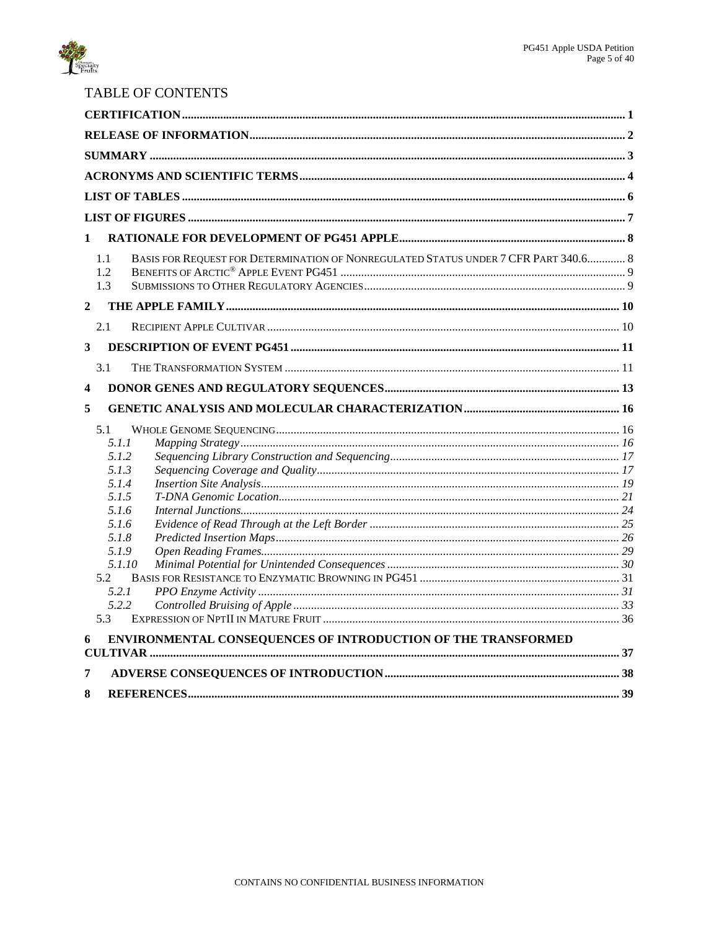

# TABLE OF CONTENTS

| $\mathbf{1}$                                                                               |  |
|--------------------------------------------------------------------------------------------|--|
| BASIS FOR REQUEST FOR DETERMINATION OF NONREGULATED STATUS UNDER 7 CFR PART 340.6 8<br>1.1 |  |
| 1.2<br>1.3                                                                                 |  |
| $\overline{2}$                                                                             |  |
|                                                                                            |  |
| 2.1                                                                                        |  |
| 3                                                                                          |  |
| 3.1                                                                                        |  |
| $\boldsymbol{4}$                                                                           |  |
| 5                                                                                          |  |
| 5.1                                                                                        |  |
| 5.1.1                                                                                      |  |
| 5.1.2                                                                                      |  |
| 5.1.3                                                                                      |  |
| 5.1.4<br>5.1.5                                                                             |  |
| 5.1.6                                                                                      |  |
| 5.1.6                                                                                      |  |
| 5.1.8                                                                                      |  |
| 5.1.9                                                                                      |  |
| 5.1.10                                                                                     |  |
| 5.2                                                                                        |  |
| 5.2.1                                                                                      |  |
| 5.2.2                                                                                      |  |
| 5.3                                                                                        |  |
| ENVIRONMENTAL CONSEQUENCES OF INTRODUCTION OF THE TRANSFORMED                              |  |
|                                                                                            |  |
| 7                                                                                          |  |
| 8                                                                                          |  |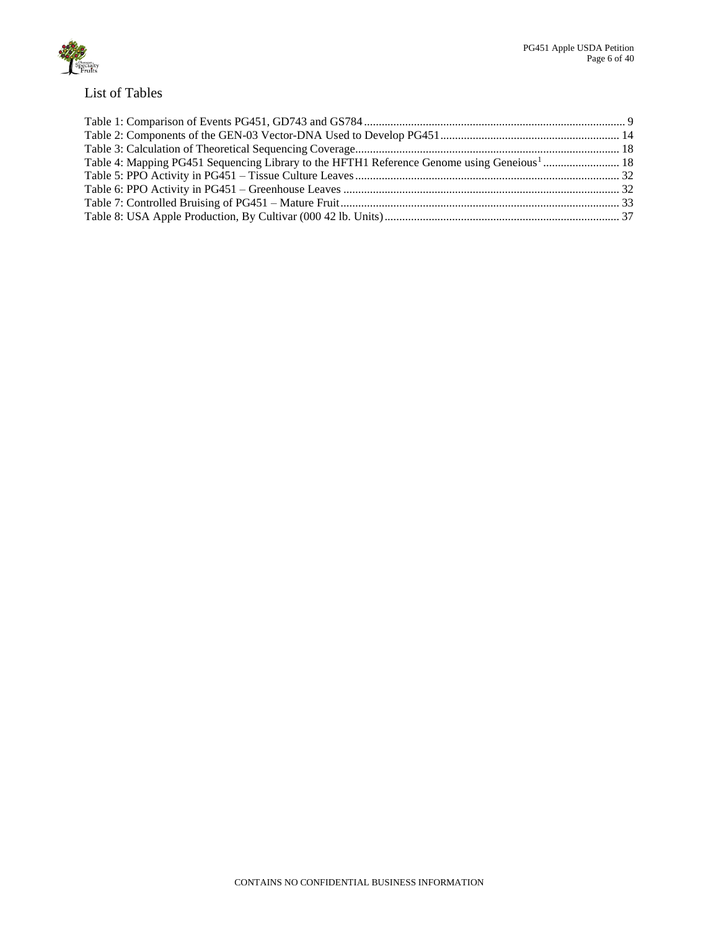

# <span id="page-5-0"></span>List of Tables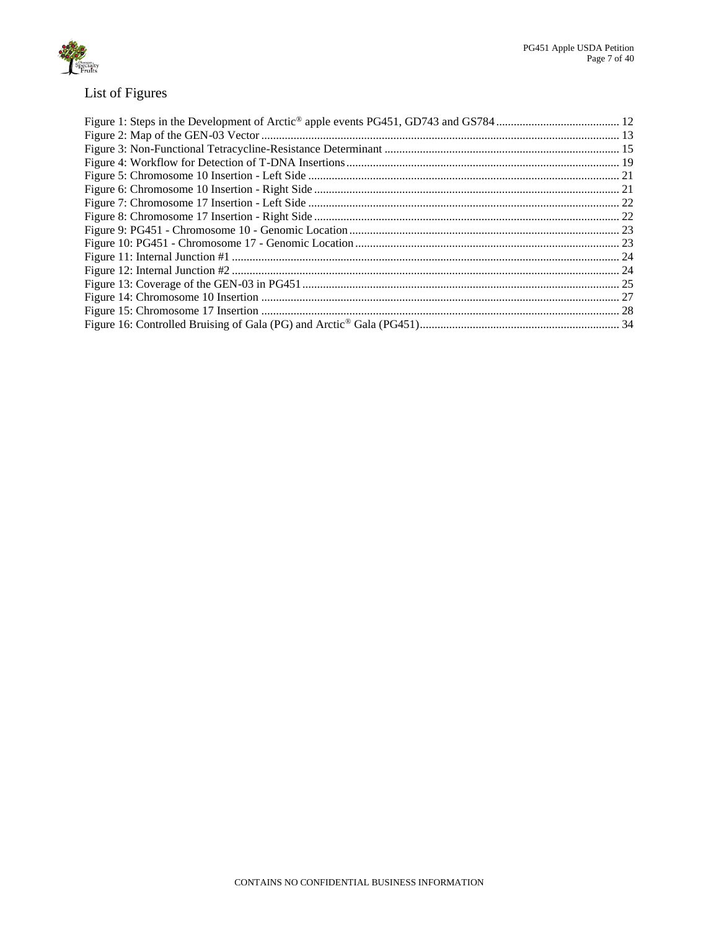

# <span id="page-6-0"></span>List of Figures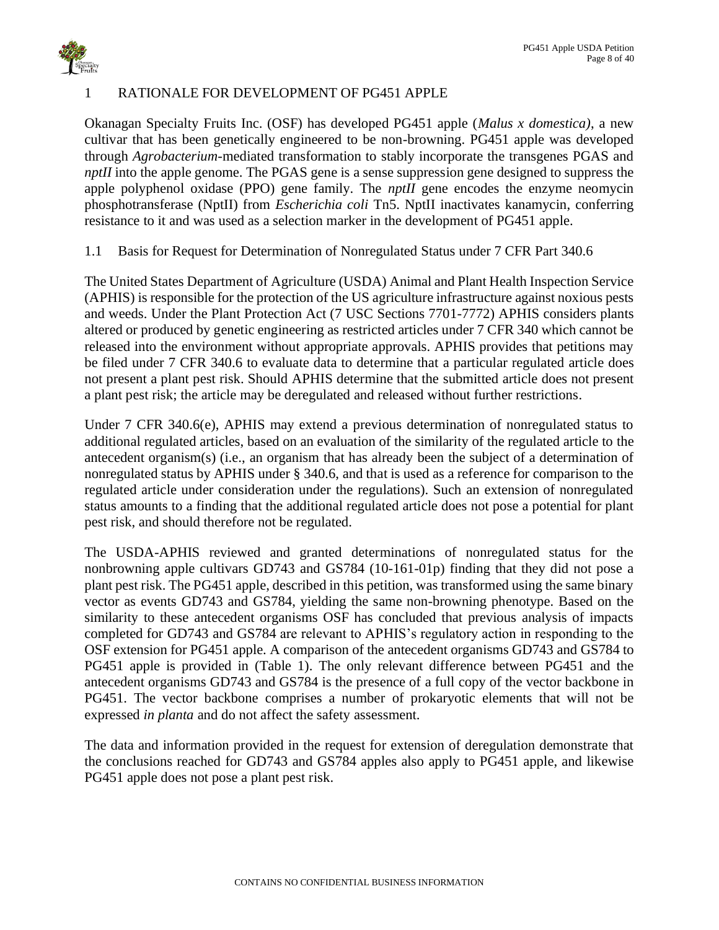

# <span id="page-7-0"></span>1 RATIONALE FOR DEVELOPMENT OF PG451 APPLE

Okanagan Specialty Fruits Inc. (OSF) has developed PG451 apple (*Malus x domestica)*, a new cultivar that has been genetically engineered to be non-browning. PG451 apple was developed through *Agrobacterium*-mediated transformation to stably incorporate the transgenes PGAS and *nptII* into the apple genome. The PGAS gene is a sense suppression gene designed to suppress the apple polyphenol oxidase (PPO) gene family. The *nptII* gene encodes the enzyme neomycin phosphotransferase (NptII) from *Escherichia coli* Tn5. NptII inactivates kanamycin, conferring resistance to it and was used as a selection marker in the development of PG451 apple.

<span id="page-7-1"></span>1.1 Basis for Request for Determination of Nonregulated Status under 7 CFR Part 340.6

The United States Department of Agriculture (USDA) Animal and Plant Health Inspection Service (APHIS) is responsible for the protection of the US agriculture infrastructure against noxious pests and weeds. Under the Plant Protection Act (7 USC Sections 7701-7772) APHIS considers plants altered or produced by genetic engineering as restricted articles under 7 CFR 340 which cannot be released into the environment without appropriate approvals. APHIS provides that petitions may be filed under 7 CFR 340.6 to evaluate data to determine that a particular regulated article does not present a plant pest risk. Should APHIS determine that the submitted article does not present a plant pest risk; the article may be deregulated and released without further restrictions.

Under 7 CFR 340.6(e), APHIS may extend a previous determination of nonregulated status to additional regulated articles, based on an evaluation of the similarity of the regulated article to the antecedent organism(s) (i.e., an organism that has already been the subject of a determination of nonregulated status by APHIS under § 340.6, and that is used as a reference for comparison to the regulated article under consideration under the regulations). Such an extension of nonregulated status amounts to a finding that the additional regulated article does not pose a potential for plant pest risk, and should therefore not be regulated.

The USDA-APHIS reviewed and granted determinations of nonregulated status for the nonbrowning apple cultivars GD743 and GS784 (10-161-01p) finding that they did not pose a plant pest risk. The PG451 apple, described in this petition, was transformed using the same binary vector as events GD743 and GS784, yielding the same non-browning phenotype. Based on the similarity to these antecedent organisms OSF has concluded that previous analysis of impacts completed for GD743 and GS784 are relevant to APHIS's regulatory action in responding to the OSF extension for PG451 apple. A comparison of the antecedent organisms GD743 and GS784 to PG451 apple is provided in [\(Table 1\)](#page-8-2). The only relevant difference between PG451 and the antecedent organisms GD743 and GS784 is the presence of a full copy of the vector backbone in PG451. The vector backbone comprises a number of prokaryotic elements that will not be expressed *in planta* and do not affect the safety assessment.

The data and information provided in the request for extension of deregulation demonstrate that the conclusions reached for GD743 and GS784 apples also apply to PG451 apple, and likewise PG451 apple does not pose a plant pest risk.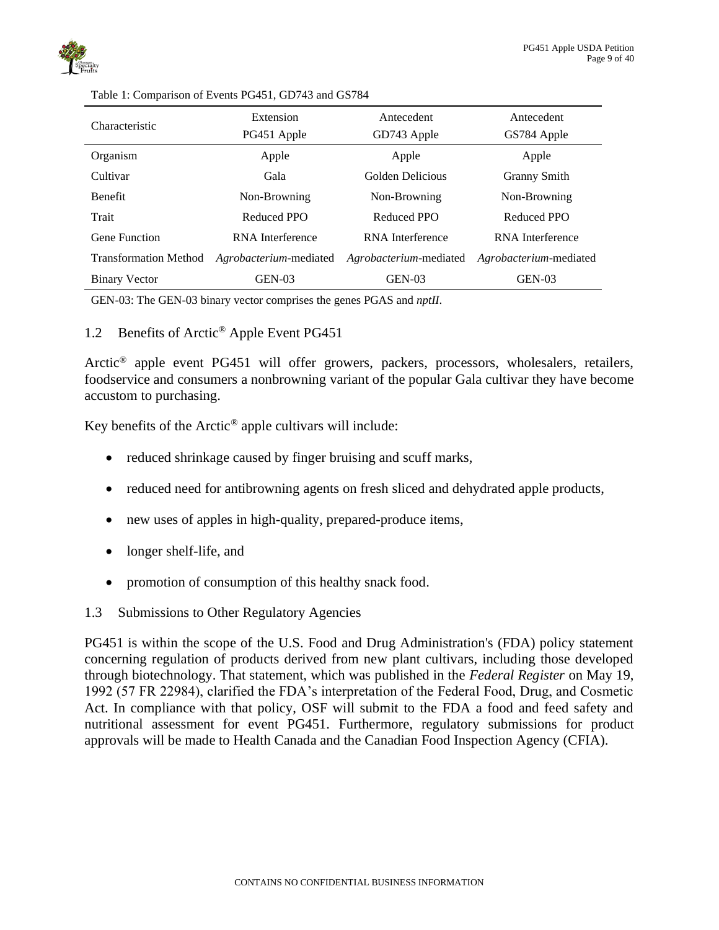

| Characteristic               | Extension<br>PG451 Apple | Antecedent<br>GD743 Apple | Antecedent<br>GS784 Apple |  |
|------------------------------|--------------------------|---------------------------|---------------------------|--|
| Organism                     | Apple                    | Apple                     | Apple                     |  |
| Cultivar                     | Gala                     | Golden Delicious          | <b>Granny Smith</b>       |  |
| <b>Benefit</b>               | Non-Browning             | Non-Browning              | Non-Browning              |  |
| Trait                        | Reduced PPO              | Reduced PPO               | Reduced PPO               |  |
| Gene Function                | RNA Interference         | RNA Interference          | RNA Interference          |  |
| <b>Transformation Method</b> | Agrobacterium-mediated   | Agrobacterium-mediated    | Agrobacterium-mediated    |  |
| <b>Binary Vector</b>         | $GEN-03$                 | $GEN-03$                  | $GEN-03$                  |  |

<span id="page-8-2"></span>Table 1: Comparison of Events PG451, GD743 and GS784

<span id="page-8-0"></span>GEN-03: The GEN-03 binary vector comprises the genes PGAS and *nptII*.

### 1.2 Benefits of Arctic® Apple Event PG451

Arctic<sup>®</sup> apple event PG451 will offer growers, packers, processors, wholesalers, retailers, foodservice and consumers a nonbrowning variant of the popular Gala cultivar they have become accustom to purchasing.

Key benefits of the  $Arctic^{\circledast}$  apple cultivars will include:

- reduced shrinkage caused by finger bruising and scuff marks,
- reduced need for antibrowning agents on fresh sliced and dehydrated apple products,
- new uses of apples in high-quality, prepared-produce items,
- longer shelf-life, and
- <span id="page-8-1"></span>• promotion of consumption of this healthy snack food.
- 1.3 Submissions to Other Regulatory Agencies

PG451 is within the scope of the U.S. Food and Drug Administration's (FDA) policy statement concerning regulation of products derived from new plant cultivars, including those developed through biotechnology. That statement, which was published in the *Federal Register* on May 19, 1992 (57 FR 22984), clarified the FDA's interpretation of the Federal Food, Drug, and Cosmetic Act. In compliance with that policy, OSF will submit to the FDA a food and feed safety and nutritional assessment for event PG451. Furthermore, regulatory submissions for product approvals will be made to Health Canada and the Canadian Food Inspection Agency (CFIA).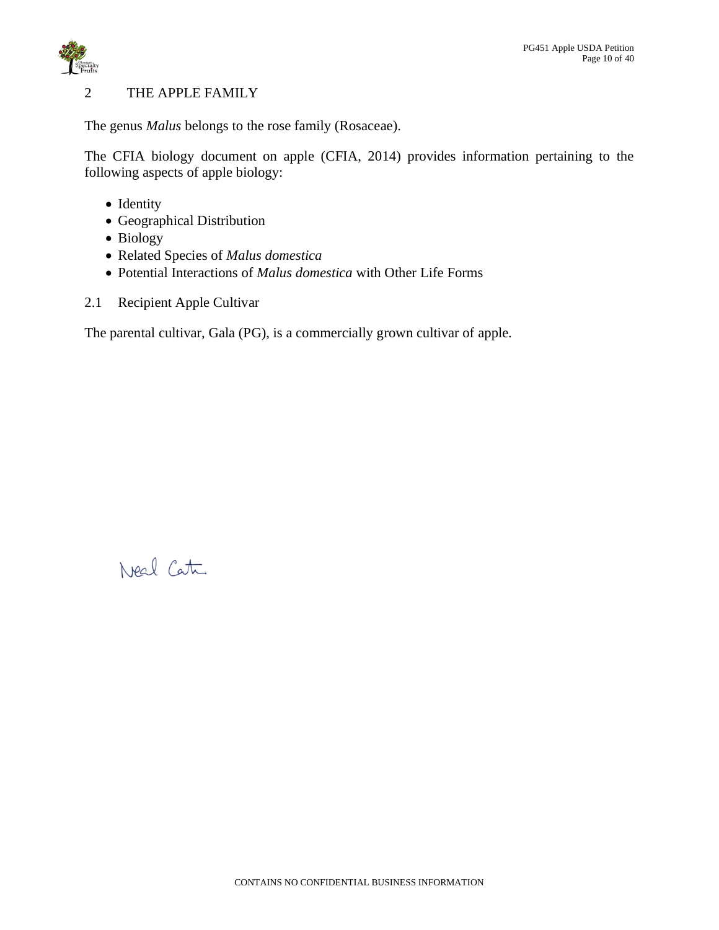

# <span id="page-9-0"></span>2 THE APPLE FAMILY

The genus *Malus* belongs to the rose family (Rosaceae).

The CFIA biology document on apple (CFIA, 2014) provides information pertaining to the following aspects of apple biology:

- Identity
- Geographical Distribution
- Biology
- Related Species of *Malus domestica*
- <span id="page-9-1"></span>• Potential Interactions of *Malus domestica* with Other Life Forms
- 2.1 Recipient Apple Cultivar

The parental cultivar, Gala (PG), is a commercially grown cultivar of apple.

Neal Cata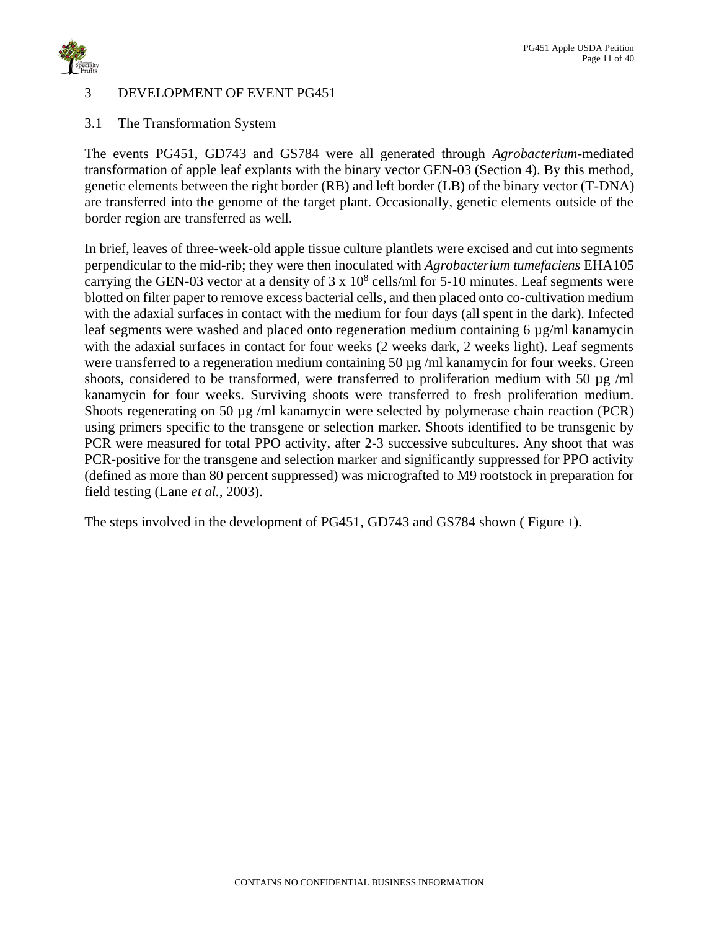

# <span id="page-10-0"></span>3 DEVELOPMENT OF EVENT PG451

<span id="page-10-1"></span>3.1 The Transformation System

The events PG451, GD743 and GS784 were all generated through *Agrobacterium*-mediated transformation of apple leaf explants with the binary vector GEN-03 (Section 4). By this method, genetic elements between the right border (RB) and left border (LB) of the binary vector (T-DNA) are transferred into the genome of the target plant. Occasionally, genetic elements outside of the border region are transferred as well.

In brief, leaves of three-week-old apple tissue culture plantlets were excised and cut into segments perpendicular to the mid-rib; they were then inoculated with *Agrobacterium tumefaciens* EHA105 carrying the GEN-03 vector at a density of  $3 \times 10^8$  cells/ml for 5-10 minutes. Leaf segments were blotted on filter paper to remove excess bacterial cells, and then placed onto co-cultivation medium with the adaxial surfaces in contact with the medium for four days (all spent in the dark). Infected leaf segments were washed and placed onto regeneration medium containing 6 µg/ml kanamycin with the adaxial surfaces in contact for four weeks (2 weeks dark, 2 weeks light). Leaf segments were transferred to a regeneration medium containing 50 µg /ml kanamycin for four weeks. Green shoots, considered to be transformed, were transferred to proliferation medium with 50  $\mu$ g /ml kanamycin for four weeks. Surviving shoots were transferred to fresh proliferation medium. Shoots regenerating on 50 µg /ml kanamycin were selected by polymerase chain reaction (PCR) using primers specific to the transgene or selection marker. Shoots identified to be transgenic by PCR were measured for total PPO activity, after 2-3 successive subcultures. Any shoot that was PCR-positive for the transgene and selection marker and significantly suppressed for PPO activity (defined as more than 80 percent suppressed) was micrografted to M9 rootstock in preparation for field testing (Lane *et al.*, 2003).

The steps involved in the development of PG451, GD743 and GS784 shown ( [Figure](#page-11-1) [1](#page-11-1)).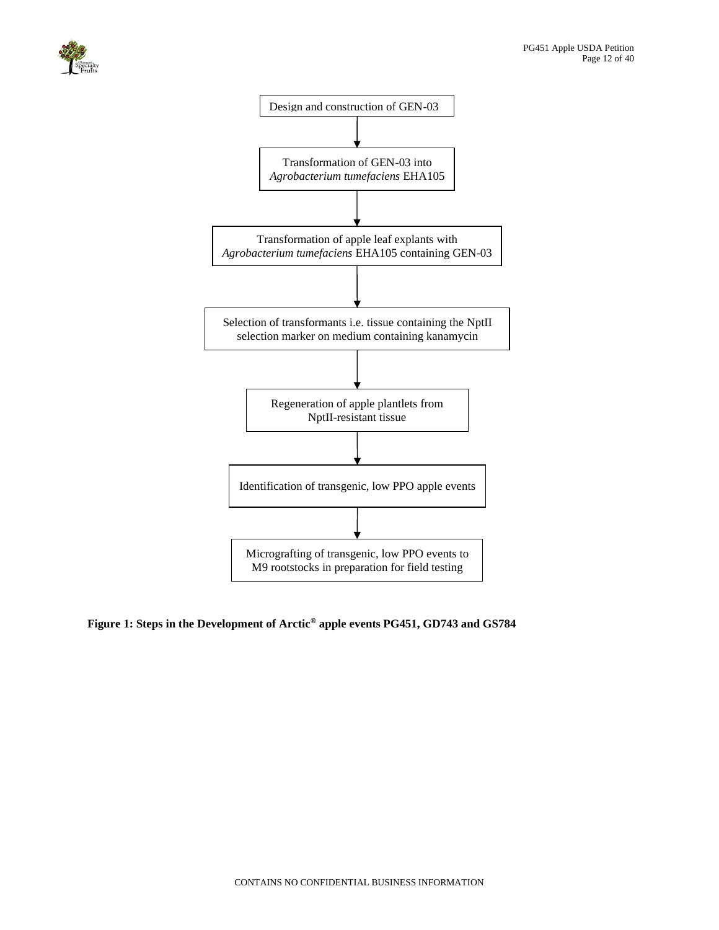



### <span id="page-11-1"></span><span id="page-11-0"></span>**Figure 1: Steps in the Development of Arctic® apple events PG451, GD743 and GS784**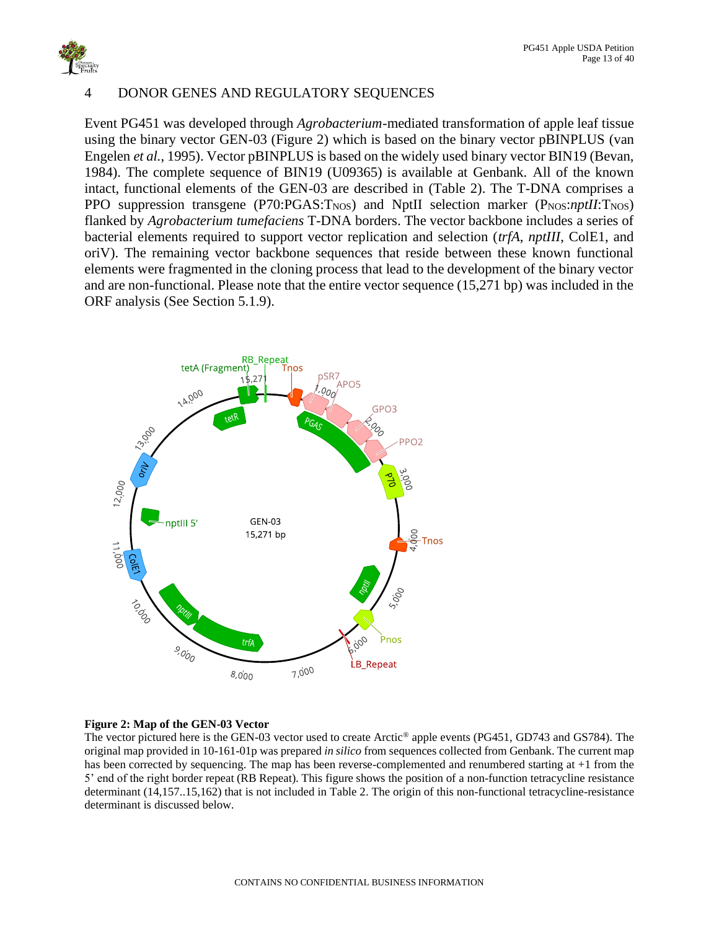

### <span id="page-12-0"></span>4 DONOR GENES AND REGULATORY SEQUENCES

Event PG451 was developed through *Agrobacterium*-mediated transformation of apple leaf tissue using the binary vector GEN-03 [\(Figure 2\)](#page-12-1) which is based on the binary vector pBINPLUS (van Engelen *et al.*, 1995). Vector pBINPLUS is based on the widely used binary vector BIN19 (Bevan, 1984). The complete sequence of BIN19 (U09365) is available at Genbank. All of the known intact, functional elements of the GEN-03 are described in [\(Table 2\)](#page-13-0). The T-DNA comprises a PPO suppression transgene (P70:PGAS:T<sub>NOS</sub>) and NptII selection marker (P<sub>NOS</sub>:*nptII*:T<sub>NOS</sub>) flanked by *Agrobacterium tumefaciens* T-DNA borders. The vector backbone includes a series of bacterial elements required to support vector replication and selection (*trfA*, *nptIII*, ColE1, and oriV). The remaining vector backbone sequences that reside between these known functional elements were fragmented in the cloning process that lead to the development of the binary vector and are non-functional. Please note that the entire vector sequence (15,271 bp) was included in the ORF analysis (See Section 5.1.9).



### <span id="page-12-1"></span>**Figure 2: Map of the GEN-03 Vector**

The vector pictured here is the GEN-03 vector used to create Arctic® apple events (PG451, GD743 and GS784). The original map provided in 10-161-01p was prepared *in silico* from sequences collected from Genbank. The current map has been corrected by sequencing. The map has been reverse-complemented and renumbered starting at +1 from the 5' end of the right border repeat (RB Repeat). This figure shows the position of a non-function tetracycline resistance determinant (14,157..15,162) that is not included in Table 2. The origin of this non-functional tetracycline-resistance determinant is discussed below.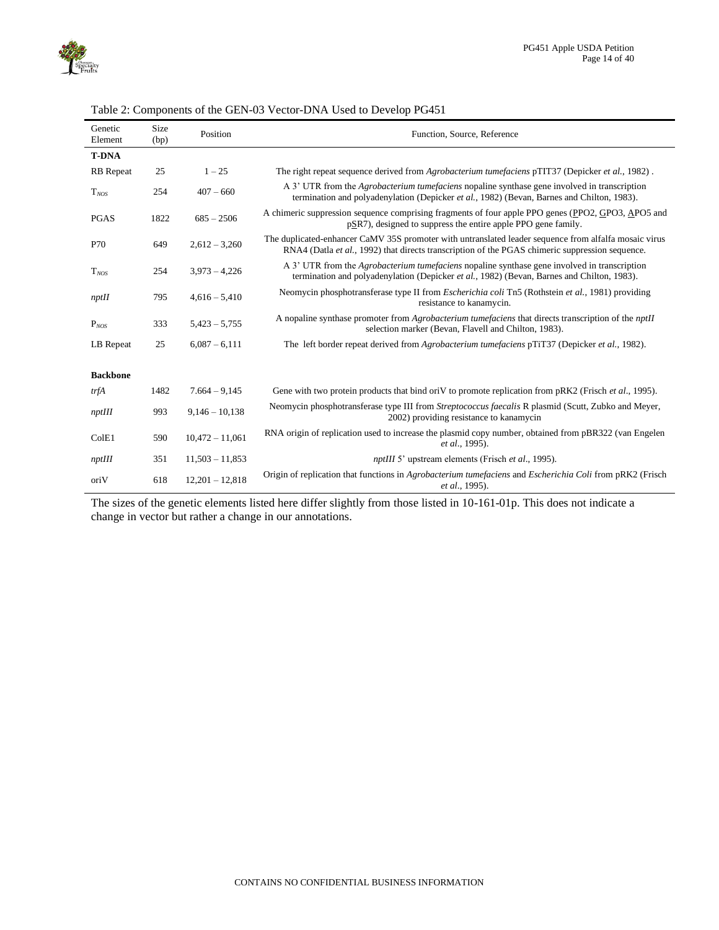

| Genetic<br>Element | Size<br>(bp) | Position          | Function, Source, Reference                                                                                                                                                                              |
|--------------------|--------------|-------------------|----------------------------------------------------------------------------------------------------------------------------------------------------------------------------------------------------------|
| <b>T-DNA</b>       |              |                   |                                                                                                                                                                                                          |
| <b>RB</b> Repeat   | 25           | $1 - 25$          | The right repeat sequence derived from <i>Agrobacterium tumefaciens</i> pTIT37 (Depicker <i>et al.</i> , 1982).                                                                                          |
| $T_{NOS}$          | 254          | $407 - 660$       | A 3' UTR from the <i>Agrobacterium tumefaciens</i> nopaline synthase gene involved in transcription<br>termination and polyadenylation (Depicker et al., 1982) (Bevan, Barnes and Chilton, 1983).        |
| <b>PGAS</b>        | 1822         | $685 - 2506$      | A chimeric suppression sequence comprising fragments of four apple PPO genes (PPO2, GPO3, APO5 and<br>pSR7), designed to suppress the entire apple PPO gene family.                                      |
| P70                | 649          | $2,612 - 3,260$   | The duplicated-enhancer CaMV 35S promoter with untranslated leader sequence from alfalfa mosaic virus<br>RNA4 (Datla et al., 1992) that directs transcription of the PGAS chimeric suppression sequence. |
| $T_{NOS}$          | 254          | $3,973 - 4,226$   | A 3' UTR from the <i>Agrobacterium tumefaciens</i> nopaline synthase gene involved in transcription<br>termination and polyadenylation (Depicker et al., 1982) (Bevan, Barnes and Chilton, 1983).        |
| nptH               | 795          | $4,616 - 5,410$   | Neomycin phosphotransferase type II from <i>Escherichia coli</i> Tn5 (Rothstein <i>et al.</i> , 1981) providing<br>resistance to kanamycin.                                                              |
| $P_{NOS}$          | 333          | $5,423 - 5,755$   | A nopaline synthase promoter from <i>Agrobacterium tumefaciens</i> that directs transcription of the <i>nptII</i><br>selection marker (Bevan, Flavell and Chilton, 1983).                                |
| LB Repeat          | 25           | $6,087 - 6,111$   | The left border repeat derived from <i>Agrobacterium tumefaciens</i> pTiT37 (Depicker <i>et al.</i> , 1982).                                                                                             |
| <b>Backbone</b>    |              |                   |                                                                                                                                                                                                          |
| trfA               | 1482         | $7.664 - 9.145$   | Gene with two protein products that bind oriV to promote replication from pRK2 (Frisch et al., 1995).                                                                                                    |
| nptIII             | 993          | $9,146 - 10,138$  | Neomycin phosphotransferase type III from Streptococcus faecalis R plasmid (Scutt, Zubko and Meyer,<br>2002) providing resistance to kanamycin                                                           |
| ColE1              | 590          | $10,472 - 11,061$ | RNA origin of replication used to increase the plasmid copy number, obtained from pBR322 (van Engelen<br>et al., 1995).                                                                                  |
| nptIII             | 351          | $11,503 - 11,853$ | <i>nptIII</i> 5' upstream elements (Frisch et al., 1995).                                                                                                                                                |
| oriV               | 618          | $12,201 - 12,818$ | Origin of replication that functions in Agrobacterium tumefaciens and Escherichia Coli from pRK2 (Frisch<br>et al., 1995).                                                                               |

<span id="page-13-0"></span>

| Table 2: Components of the GEN-03 Vector-DNA Used to Develop PG451 |  |
|--------------------------------------------------------------------|--|

The sizes of the genetic elements listed here differ slightly from those listed in 10-161-01p. This does not indicate a change in vector but rather a change in our annotations.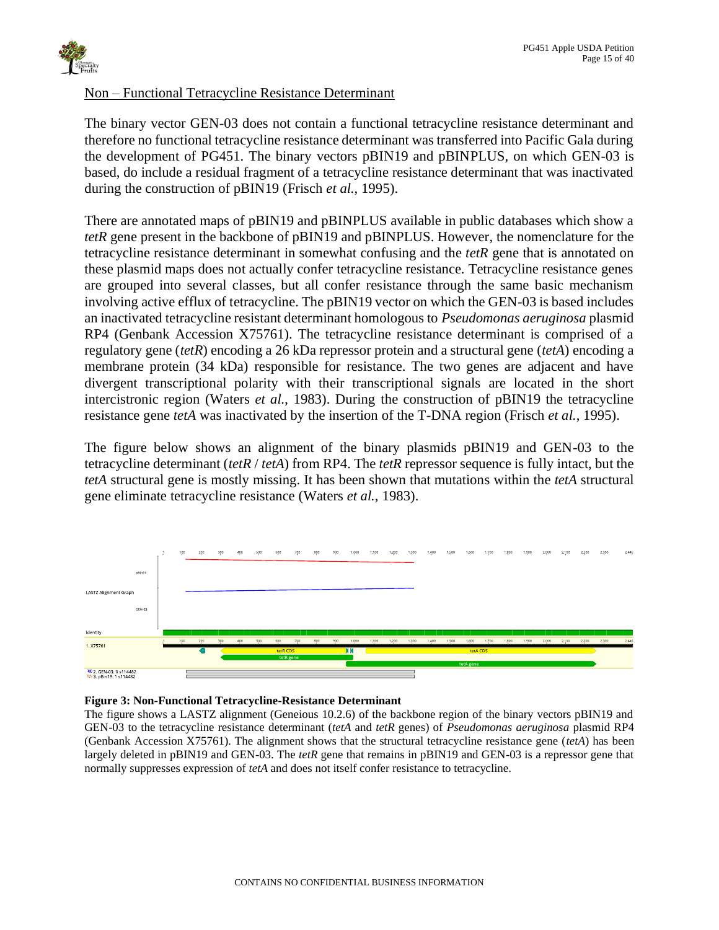## Non – Functional Tetracycline Resistance Determinant

The binary vector GEN-03 does not contain a functional tetracycline resistance determinant and therefore no functional tetracycline resistance determinant was transferred into Pacific Gala during the development of PG451. The binary vectors pBIN19 and pBINPLUS, on which GEN-03 is based, do include a residual fragment of a tetracycline resistance determinant that was inactivated during the construction of pBIN19 (Frisch *et al.*, 1995).

There are annotated maps of pBIN19 and pBINPLUS available in public databases which show a *tetR* gene present in the backbone of pBIN19 and pBINPLUS. However, the nomenclature for the tetracycline resistance determinant in somewhat confusing and the *tetR* gene that is annotated on these plasmid maps does not actually confer tetracycline resistance. Tetracycline resistance genes are grouped into several classes, but all confer resistance through the same basic mechanism involving active efflux of tetracycline. The pBIN19 vector on which the GEN-03 is based includes an inactivated tetracycline resistant determinant homologous to *Pseudomonas aeruginosa* plasmid RP4 (Genbank Accession X75761). The tetracycline resistance determinant is comprised of a regulatory gene (*tetR*) encoding a 26 kDa repressor protein and a structural gene (*tetA*) encoding a membrane protein (34 kDa) responsible for resistance. The two genes are adjacent and have divergent transcriptional polarity with their transcriptional signals are located in the short intercistronic region (Waters *et al.*, 1983). During the construction of pBIN19 the tetracycline resistance gene *tetA* was inactivated by the insertion of the T-DNA region (Frisch *et al.*, 1995).

The figure below shows an alignment of the binary plasmids pBIN19 and GEN-03 to the tetracycline determinant (*tetR* / *tetA*) from RP4. The *tetR* repressor sequence is fully intact, but the *tetA* structural gene is mostly missing. It has been shown that mutations within the *tetA* structural gene eliminate tetracycline resistance (Waters *et al.*, 1983).



### <span id="page-14-0"></span>**Figure 3: Non-Functional Tetracycline-Resistance Determinant**

The figure shows a LASTZ alignment (Geneious 10.2.6) of the backbone region of the binary vectors pBIN19 and GEN-03 to the tetracycline resistance determinant (*tetA* and *tetR* genes) of *Pseudomonas aeruginosa* plasmid RP4 (Genbank Accession X75761). The alignment shows that the structural tetracycline resistance gene (*tetA*) has been largely deleted in pBIN19 and GEN-03. The *tetR* gene that remains in pBIN19 and GEN-03 is a repressor gene that normally suppresses expression of *tetA* and does not itself confer resistance to tetracycline.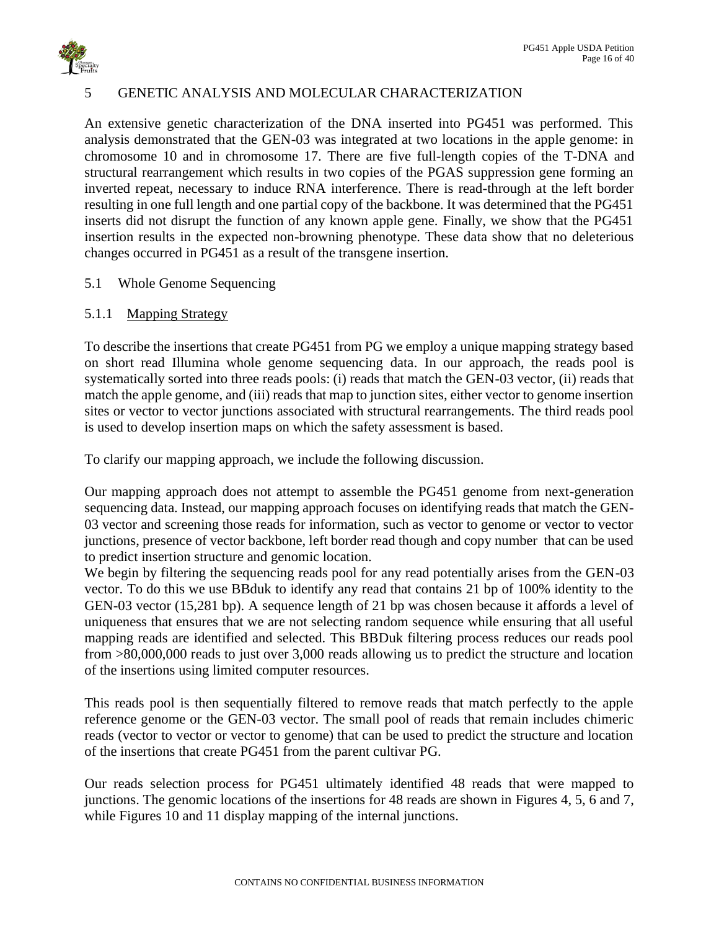

## <span id="page-15-0"></span>5 GENETIC ANALYSIS AND MOLECULAR CHARACTERIZATION

An extensive genetic characterization of the DNA inserted into PG451 was performed. This analysis demonstrated that the GEN-03 was integrated at two locations in the apple genome: in chromosome 10 and in chromosome 17. There are five full-length copies of the T-DNA and structural rearrangement which results in two copies of the PGAS suppression gene forming an inverted repeat, necessary to induce RNA interference. There is read-through at the left border resulting in one full length and one partial copy of the backbone. It was determined that the PG451 inserts did not disrupt the function of any known apple gene. Finally, we show that the PG451 insertion results in the expected non-browning phenotype. These data show that no deleterious changes occurred in PG451 as a result of the transgene insertion.

### <span id="page-15-1"></span>5.1 Whole Genome Sequencing

### <span id="page-15-2"></span>5.1.1 Mapping Strategy

To describe the insertions that create PG451 from PG we employ a unique mapping strategy based on short read Illumina whole genome sequencing data. In our approach, the reads pool is systematically sorted into three reads pools: (i) reads that match the GEN-03 vector, (ii) reads that match the apple genome, and (iii) reads that map to junction sites, either vector to genome insertion sites or vector to vector junctions associated with structural rearrangements. The third reads pool is used to develop insertion maps on which the safety assessment is based.

To clarify our mapping approach, we include the following discussion.

Our mapping approach does not attempt to assemble the PG451 genome from next-generation sequencing data. Instead, our mapping approach focuses on identifying reads that match the GEN-03 vector and screening those reads for information, such as vector to genome or vector to vector junctions, presence of vector backbone, left border read though and copy number that can be used to predict insertion structure and genomic location.

We begin by filtering the sequencing reads pool for any read potentially arises from the GEN-03 vector. To do this we use BBduk to identify any read that contains 21 bp of 100% identity to the GEN-03 vector (15,281 bp). A sequence length of 21 bp was chosen because it affords a level of uniqueness that ensures that we are not selecting random sequence while ensuring that all useful mapping reads are identified and selected. This BBDuk filtering process reduces our reads pool from >80,000,000 reads to just over 3,000 reads allowing us to predict the structure and location of the insertions using limited computer resources.

This reads pool is then sequentially filtered to remove reads that match perfectly to the apple reference genome or the GEN-03 vector. The small pool of reads that remain includes chimeric reads (vector to vector or vector to genome) that can be used to predict the structure and location of the insertions that create PG451 from the parent cultivar PG.

Our reads selection process for PG451 ultimately identified 48 reads that were mapped to junctions. The genomic locations of the insertions for 48 reads are shown in Figures 4, 5, 6 and 7, while Figures 10 and 11 display mapping of the internal junctions.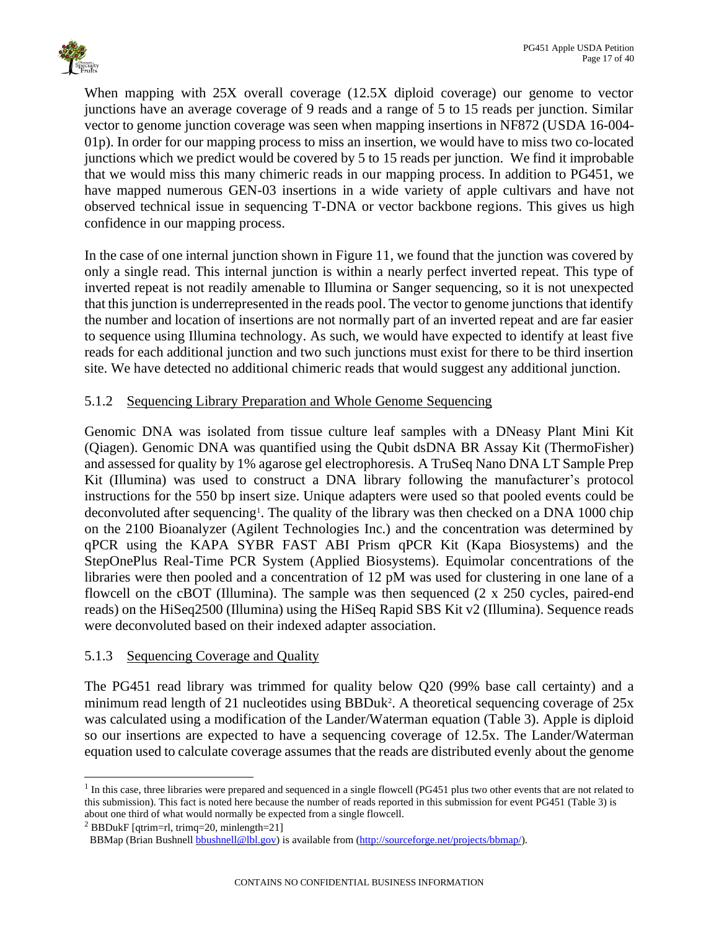

When mapping with 25X overall coverage (12.5X diploid coverage) our genome to vector junctions have an average coverage of 9 reads and a range of 5 to 15 reads per junction. Similar vector to genome junction coverage was seen when mapping insertions in NF872 (USDA 16-004- 01p). In order for our mapping process to miss an insertion, we would have to miss two co-located junctions which we predict would be covered by 5 to 15 reads per junction. We find it improbable that we would miss this many chimeric reads in our mapping process. In addition to PG451, we have mapped numerous GEN-03 insertions in a wide variety of apple cultivars and have not observed technical issue in sequencing T-DNA or vector backbone regions. This gives us high confidence in our mapping process.

In the case of one internal junction shown in Figure 11, we found that the junction was covered by only a single read. This internal junction is within a nearly perfect inverted repeat. This type of inverted repeat is not readily amenable to Illumina or Sanger sequencing, so it is not unexpected that this junction is underrepresented in the reads pool. The vector to genome junctions that identify the number and location of insertions are not normally part of an inverted repeat and are far easier to sequence using Illumina technology. As such, we would have expected to identify at least five reads for each additional junction and two such junctions must exist for there to be third insertion site. We have detected no additional chimeric reads that would suggest any additional junction.

# <span id="page-16-0"></span>5.1.2 Sequencing Library Preparation and Whole Genome Sequencing

Genomic DNA was isolated from tissue culture leaf samples with a DNeasy Plant Mini Kit (Qiagen). Genomic DNA was quantified using the Qubit dsDNA BR Assay Kit (ThermoFisher) and assessed for quality by 1% agarose gel electrophoresis. A TruSeq Nano DNA LT Sample Prep Kit (Illumina) was used to construct a DNA library following the manufacturer's protocol instructions for the 550 bp insert size. Unique adapters were used so that pooled events could be deconvoluted after sequencing<sup>1</sup>. The quality of the library was then checked on a DNA 1000 chip on the 2100 Bioanalyzer (Agilent Technologies Inc.) and the concentration was determined by qPCR using the KAPA SYBR FAST ABI Prism qPCR Kit (Kapa Biosystems) and the StepOnePlus Real-Time PCR System (Applied Biosystems). Equimolar concentrations of the libraries were then pooled and a concentration of 12 pM was used for clustering in one lane of a flowcell on the cBOT (Illumina). The sample was then sequenced (2 x 250 cycles, paired-end reads) on the HiSeq2500 (Illumina) using the HiSeq Rapid SBS Kit v2 (Illumina). Sequence reads were deconvoluted based on their indexed adapter association.

### <span id="page-16-1"></span>5.1.3 Sequencing Coverage and Quality

The PG451 read library was trimmed for quality below Q20 (99% base call certainty) and a minimum read length of 21 nucleotides using BBDuk<sup>2</sup>. A theoretical sequencing coverage of 25x was calculated using a modification of the Lander/Waterman equation [\(Table 3\)](#page-17-0). Apple is diploid so our insertions are expected to have a sequencing coverage of 12.5x. The Lander/Waterman equation used to calculate coverage assumes that the reads are distributed evenly about the genome

<sup>&</sup>lt;sup>1</sup> In this case, three libraries were prepared and sequenced in a single flowcell (PG451 plus two other events that are not related to this submission). This fact is noted here because the number of reads reported in this submission for event PG451 [\(Table 3\)](#page-17-0) is about one third of what would normally be expected from a single flowcell.

<sup>&</sup>lt;sup>2</sup> BBDukF [qtrim=rl, trimq=20, minlength=21]

BBMap (Brian Bushnel[l bbushnell@lbl.gov\)](mailto:bbushnell@lbl.gov) is available from [\(http://sourceforge.net/projects/bbmap/\)](http://sourceforge.net/projects/bbmap/).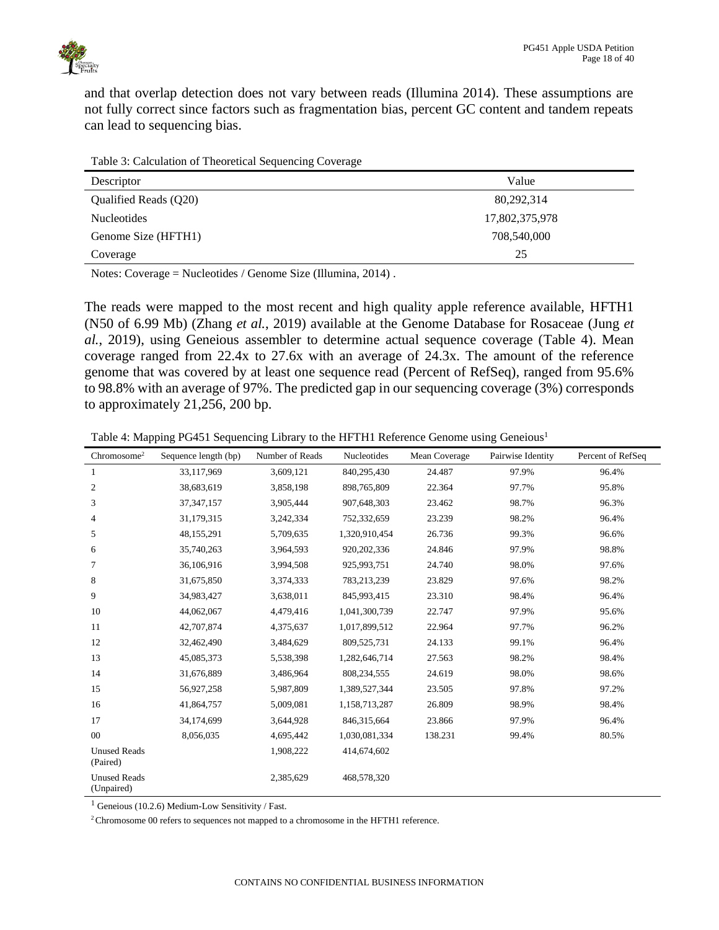

and that overlap detection does not vary between reads (Illumina 2014). These assumptions are not fully correct since factors such as fragmentation bias, percent GC content and tandem repeats can lead to sequencing bias.

<span id="page-17-0"></span>

| Table 3: Calculation of Theoretical Sequencing Coverage |
|---------------------------------------------------------|
|---------------------------------------------------------|

| Descriptor            | Value          |
|-----------------------|----------------|
| Qualified Reads (Q20) | 80,292,314     |
| <b>Nucleotides</b>    | 17,802,375,978 |
| Genome Size (HFTH1)   | 708,540,000    |
| Coverage              | 25             |

Notes: Coverage = Nucleotides / Genome Size (Illumina, 2014) .

The reads were mapped to the most recent and high quality apple reference available, HFTH1 (N50 of 6.99 Mb) (Zhang *et al.*, 2019) available at the Genome Database for Rosaceae (Jung *et al.*, 2019), using Geneious assembler to determine actual sequence coverage [\(Table 4\)](#page-17-1). Mean coverage ranged from 22.4x to 27.6x with an average of 24.3x. The amount of the reference genome that was covered by at least one sequence read (Percent of RefSeq), ranged from 95.6% to 98.8% with an average of 97%. The predicted gap in our sequencing coverage (3%) corresponds to approximately 21,256, 200 bp.

<span id="page-17-1"></span>Table 4: Mapping PG451 Sequencing Library to the HFTH1 Reference Genome using Geneious<sup>1</sup>

| Chromosome <sup>2</sup>           | Sequence length (bp) | Number of Reads | Nucleotides   | Mean Coverage | Pairwise Identity | Percent of RefSeq |
|-----------------------------------|----------------------|-----------------|---------------|---------------|-------------------|-------------------|
| 1                                 | 33,117,969           | 3,609,121       | 840,295,430   | 24.487        | 97.9%             | 96.4%             |
| $\mathfrak{2}$                    | 38,683,619           | 3,858,198       | 898,765,809   | 22.364        | 97.7%             | 95.8%             |
| 3                                 | 37, 347, 157         | 3,905,444       | 907,648,303   | 23.462        | 98.7%             | 96.3%             |
| 4                                 | 31,179,315           | 3,242,334       | 752,332,659   | 23.239        | 98.2%             | 96.4%             |
| 5                                 | 48,155,291           | 5,709,635       | 1,320,910,454 | 26.736        | 99.3%             | 96.6%             |
| 6                                 | 35,740,263           | 3,964,593       | 920, 202, 336 | 24.846        | 97.9%             | 98.8%             |
| 7                                 | 36,106,916           | 3,994,508       | 925,993,751   | 24.740        | 98.0%             | 97.6%             |
| 8                                 | 31,675,850           | 3,374,333       | 783,213,239   | 23.829        | 97.6%             | 98.2%             |
| 9                                 | 34,983,427           | 3,638,011       | 845,993,415   | 23.310        | 98.4%             | 96.4%             |
| 10                                | 44,062,067           | 4,479,416       | 1,041,300,739 | 22.747        | 97.9%             | 95.6%             |
| 11                                | 42,707,874           | 4,375,637       | 1,017,899,512 | 22.964        | 97.7%             | 96.2%             |
| 12                                | 32,462,490           | 3,484,629       | 809,525,731   | 24.133        | 99.1%             | 96.4%             |
| 13                                | 45,085,373           | 5,538,398       | 1,282,646,714 | 27.563        | 98.2%             | 98.4%             |
| 14                                | 31,676,889           | 3,486,964       | 808,234,555   | 24.619        | 98.0%             | 98.6%             |
| 15                                | 56,927,258           | 5,987,809       | 1,389,527,344 | 23.505        | 97.8%             | 97.2%             |
| 16                                | 41,864,757           | 5,009,081       | 1,158,713,287 | 26.809        | 98.9%             | 98.4%             |
| 17                                | 34,174,699           | 3,644,928       | 846,315,664   | 23.866        | 97.9%             | 96.4%             |
| $00\,$                            | 8,056,035            | 4,695,442       | 1,030,081,334 | 138.231       | 99.4%             | 80.5%             |
| <b>Unused Reads</b><br>(Paired)   |                      | 1,908,222       | 414,674,602   |               |                   |                   |
| <b>Unused Reads</b><br>(Unpaired) |                      | 2,385,629       | 468,578,320   |               |                   |                   |

 $1$  Geneious (10.2.6) Medium-Low Sensitivity / Fast.

<sup>2</sup>Chromosome 00 refers to sequences not mapped to a chromosome in the HFTH1 reference.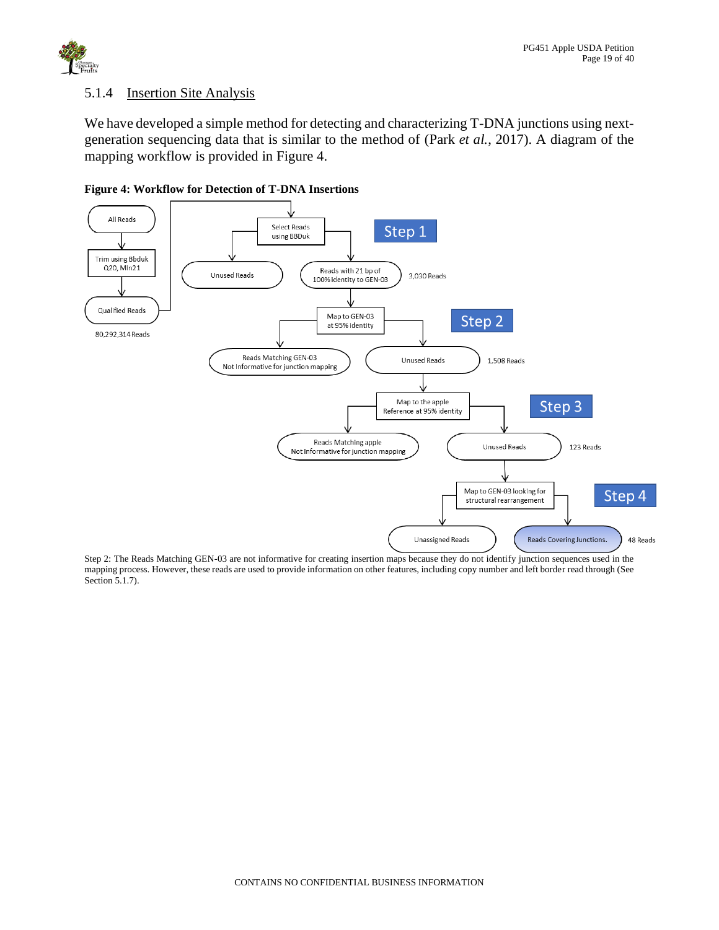

### <span id="page-18-0"></span>5.1.4 Insertion Site Analysis

We have developed a simple method for detecting and characterizing T-DNA junctions using nextgeneration sequencing data that is similar to the method of (Park *et al.*, 2017). A diagram of the mapping workflow is provided in Figure 4.



**Figure 4: Workflow for Detection of T-DNA Insertions**

Step 2: The Reads Matching GEN-03 are not informative for creating insertion maps because they do not identify junction sequences used in the mapping process. However, these reads are used to provide information on other features, including copy number and left border read through (See Section 5.1.7).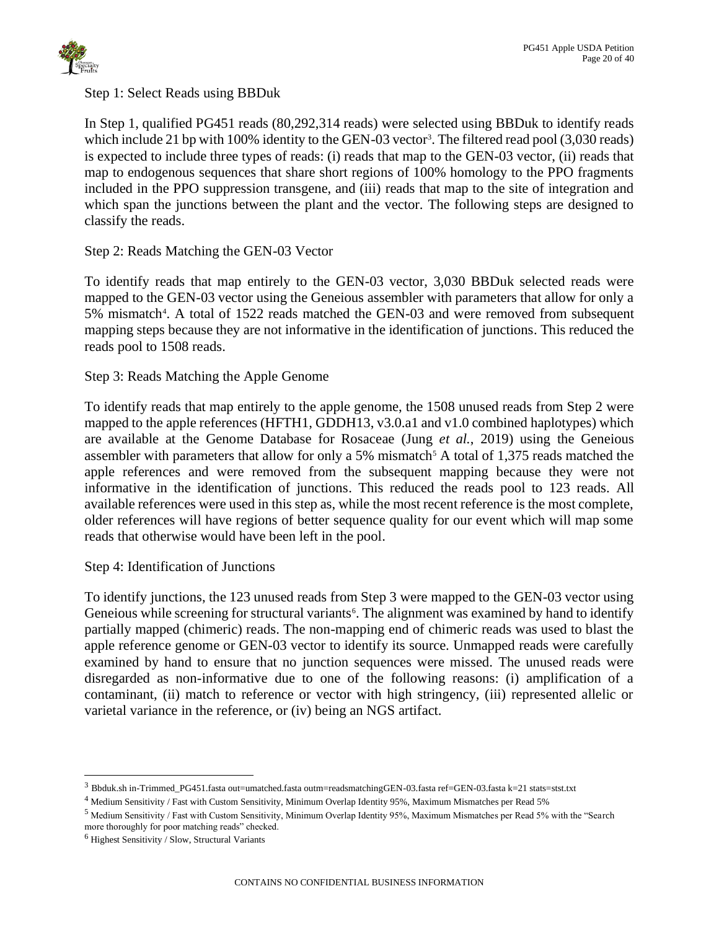

Step 1: Select Reads using BBDuk

In Step 1, qualified PG451 reads (80,292,314 reads) were selected using BBDuk to identify reads which include 21 bp with 100% identity to the GEN-03 vector<sup>3</sup>. The filtered read pool (3,030 reads) is expected to include three types of reads: (i) reads that map to the GEN-03 vector, (ii) reads that map to endogenous sequences that share short regions of 100% homology to the PPO fragments included in the PPO suppression transgene, and (iii) reads that map to the site of integration and which span the junctions between the plant and the vector. The following steps are designed to classify the reads.

# Step 2: Reads Matching the GEN-03 Vector

To identify reads that map entirely to the GEN-03 vector, 3,030 BBDuk selected reads were mapped to the GEN-03 vector using the Geneious assembler with parameters that allow for only a 5% mismatch<sup>4</sup>. A total of 1522 reads matched the GEN-03 and were removed from subsequent mapping steps because they are not informative in the identification of junctions. This reduced the reads pool to 1508 reads.

# Step 3: Reads Matching the Apple Genome

To identify reads that map entirely to the apple genome, the 1508 unused reads from Step 2 were mapped to the apple references (HFTH1, GDDH13, v3.0.a1 and v1.0 combined haplotypes) which are available at the Genome Database for Rosaceae (Jung *et al.*, 2019) using the Geneious assembler with parameters that allow for only a 5% mismatch<sup>5</sup> A total of 1,375 reads matched the apple references and were removed from the subsequent mapping because they were not informative in the identification of junctions. This reduced the reads pool to 123 reads. All available references were used in this step as, while the most recent reference is the most complete, older references will have regions of better sequence quality for our event which will map some reads that otherwise would have been left in the pool.

Step 4: Identification of Junctions

To identify junctions, the 123 unused reads from Step 3 were mapped to the GEN-03 vector using Geneious while screening for structural variants<sup>6</sup>. The alignment was examined by hand to identify partially mapped (chimeric) reads. The non-mapping end of chimeric reads was used to blast the apple reference genome or GEN-03 vector to identify its source. Unmapped reads were carefully examined by hand to ensure that no junction sequences were missed. The unused reads were disregarded as non-informative due to one of the following reasons: (i) amplification of a contaminant, (ii) match to reference or vector with high stringency, (iii) represented allelic or varietal variance in the reference, or (iv) being an NGS artifact.

 $3$  Bbduk.sh in-Trimmed\_PG451.fasta out=umatched.fasta outm=readsmatchingGEN-03.fasta ref=GEN-03.fasta k=21 stats=stst.txt

<sup>4</sup> Medium Sensitivity / Fast with Custom Sensitivity, Minimum Overlap Identity 95%, Maximum Mismatches per Read 5%

<sup>5</sup> Medium Sensitivity / Fast with Custom Sensitivity, Minimum Overlap Identity 95%, Maximum Mismatches per Read 5% with the "Search more thoroughly for poor matching reads" checked.

 $<sup>6</sup>$  Highest Sensitivity / Slow, Structural Variants</sup>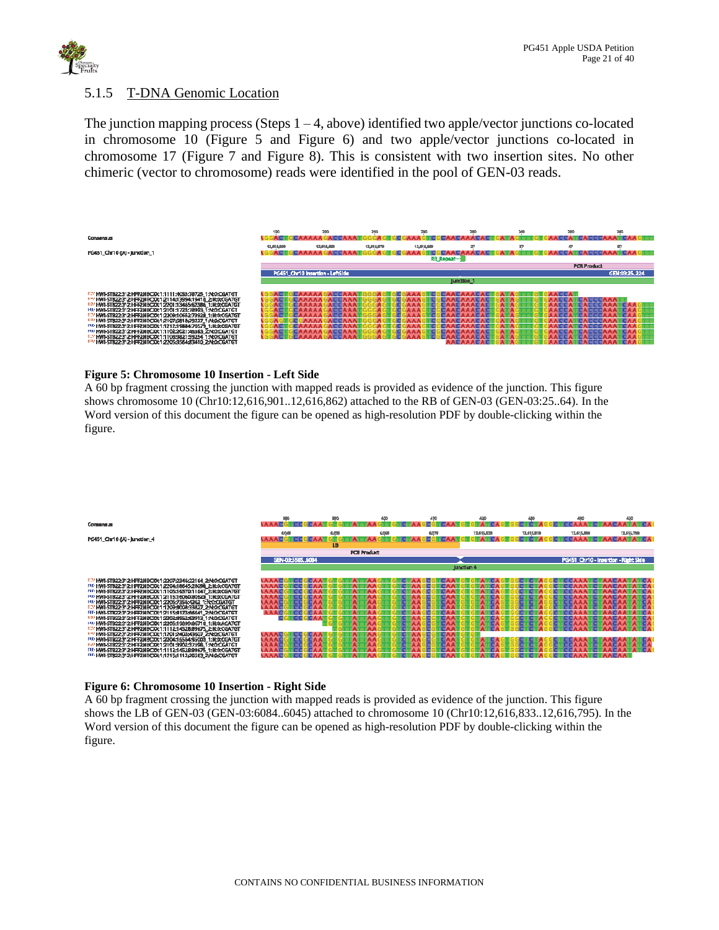

### <span id="page-20-0"></span>5.1.5 T-DNA Genomic Location

The junction mapping process (Steps  $1 - 4$ , above) identified two apple/vector junctions co-located in chromosome 10 [\(Figure 5](#page-20-1) and [Figure 6\)](#page-20-2) and two apple/vector junctions co-located in chromosome 17 [\(Figure 7](#page-21-0) and [Figure 8\)](#page-21-1). This is consistent with two insertion sites. No other chimeric (vector to chromosome) reads were identified in the pool of GEN-03 reads.

|                                                                 | 190        | 200                              | 210        | 230                | 280        | 240 | 280                | 200           |
|-----------------------------------------------------------------|------------|----------------------------------|------------|--------------------|------------|-----|--------------------|---------------|
| Consensus                                                       |            |                                  |            |                    |            |     |                    |               |
|                                                                 |            |                                  |            |                    |            |     |                    |               |
|                                                                 | 12,016,099 | 12,014,000                       | 12,016,079 | 12,016,009         |            | X7  | æ                  | п             |
| PG451_Chr10 (jA) - Junction_1                                   |            |                                  |            |                    |            |     |                    |               |
|                                                                 |            |                                  |            | <b>RB_Repeat-3</b> |            |     |                    |               |
|                                                                 |            |                                  |            |                    |            |     | <b>PCR Product</b> |               |
|                                                                 |            | PG451 Chr10 Insertion - LeftSide |            |                    |            |     |                    | GEN:03:25.224 |
|                                                                 |            |                                  |            |                    | Junction_1 |     |                    |               |
|                                                                 |            |                                  |            |                    |            |     |                    |               |
| R3/HWI-5T822:312:HFF2NBO001:1111:4053:78725_1:N:0:OGATGT        |            |                                  |            |                    |            |     |                    |               |
| RRF HMI-5T822;312:HFFZNBO061:2114;13994;19410_2:N:0;CGATGT      |            |                                  |            |                    |            |     |                    |               |
| RB HWI-5T822:312:HFF2N8C00:1:2201:13465/62386_1:N:0XCGATGT      |            |                                  |            |                    |            |     |                    |               |
| HAHMI-STB22:312:HFF2NBC001:2101:1723:78993_1:N:0:CGATGT         |            |                                  |            |                    |            |     |                    |               |
| R3/HWI-5T822:312:HFF2NBO041:2209:10652:73928_1:N:0:CGATGT       |            |                                  |            |                    |            |     |                    |               |
| RR HMI-5T822;312;HFFZNBC00:1;2107;5818;29227_1;N;0;CGATGT       |            |                                  |            |                    |            |     |                    |               |
| F10 HWI-5TB22:31 2: HFF2NBCl00:1:1212:19884:70579 1: N:0:CGATGT |            |                                  |            |                    |            |     |                    |               |
| FID HWI-STB22:312:HFF2NBC00:1:1102:2021:45583 ZN:0:CGATGT       |            |                                  |            |                    |            |     |                    |               |
| R3/HWI-5T822-312-HFF2NBO061:1108:9821:59254_1:N:0:OGATGT        |            |                                  |            |                    |            |     |                    |               |
| RBI HMLSTR22-312-HEEZMRCDA1:2205/3564:03410-2:M-0-CGATGT        |            |                                  |            |                    |            |     |                    |               |

### <span id="page-20-1"></span>**Figure 5: Chromosome 10 Insertion - Left Side**

A 60 bp fragment crossing the junction with mapped reads is provided as evidence of the junction. This figure shows chromosome 10 (Chr10:12,616,901..12,616,862) attached to the RB of GEN-03 (GEN-03:25..64). In the Word version of this document the figure can be opened as high-resolution PDF by double-clicking within the figure.



### <span id="page-20-2"></span>**Figure 6: Chromosome 10 Insertion - Right Side**

A 60 bp fragment crossing the junction with mapped reads is provided as evidence of the junction. This figure shows the LB of GEN-03 (GEN-03:6084..6045) attached to chromosome 10 (Chr10:12,616,833..12,616,795). In the Word version of this document the figure can be opened as high-resolution PDF by double-clicking within the figure.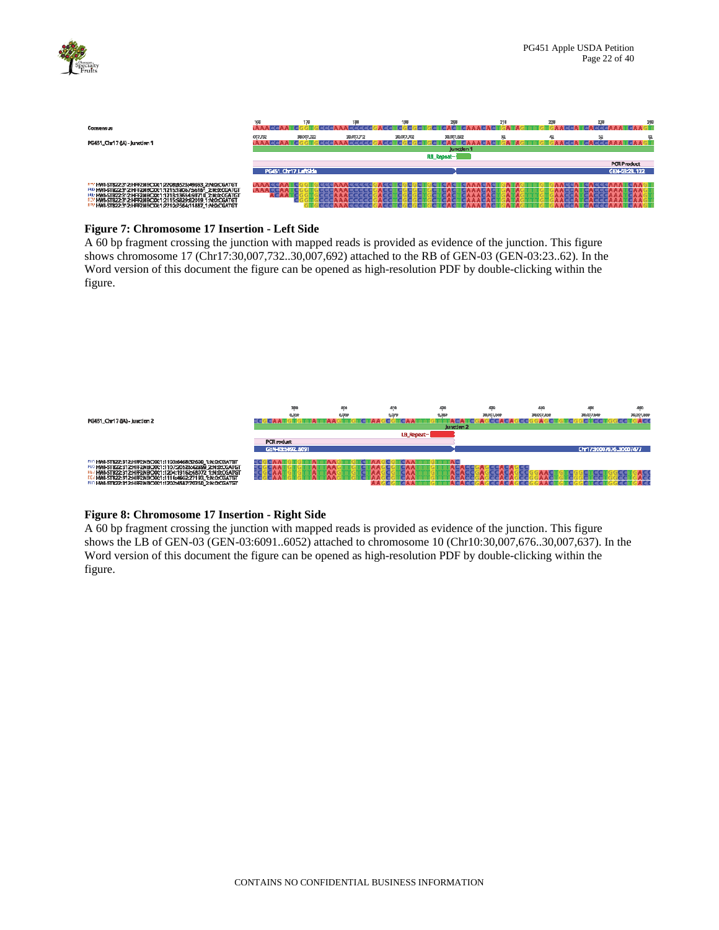

| Consensus                                                                                                                                                                                                                                                                                                         | 160                  | 170        |            |            | क्रम                            | 210 | za | 239                                 | 291 |
|-------------------------------------------------------------------------------------------------------------------------------------------------------------------------------------------------------------------------------------------------------------------------------------------------------------------|----------------------|------------|------------|------------|---------------------------------|-----|----|-------------------------------------|-----|
| PG451_Chr17 (jA) - Junction 1                                                                                                                                                                                                                                                                                     | 007.752              | 30,007,722 | 20,007.712 | 30,007,702 | 30,007,562<br><b>Junction 1</b> | 92  |    | 58                                  |     |
|                                                                                                                                                                                                                                                                                                                   |                      |            |            |            | <b>RB_Repeat-1</b>              |     |    |                                     |     |
|                                                                                                                                                                                                                                                                                                                   | PG451_Chr17_LaftSide |            |            |            |                                 |     |    | <b>PCR Product</b><br>GEN-03:23.122 |     |
| R3*HWI-5T822;312;HFFZNBCXX1;2208;8523;46693_2;N:0:CGATGT<br>FID HWI-STB22:31 2: HFF2NBCXX1:1215:18057:56161_2:N:0:CGATGT<br>HAH HWN-STB22:312:HFF2NBCXX1:1213:13654:59710 2:N:0:CGATGT<br>REM HWN-5T822:312:HFF2NBC00:1:2115:5829:82019_1:N:0:OGATGT<br>RR1HM1-5T822;312;HFF2NBC00;1;2210;7564;11887_1;N;0;CGATGT | ٨C                   |            |            |            |                                 |     |    |                                     |     |

#### <span id="page-21-0"></span>**Figure 7: Chromosome 17 Insertion - Left Side**

A 60 bp fragment crossing the junction with mapped reads is provided as evidence of the junction. This figure shows chromosome 17 (Chr17:30,007,732..30,007,692) attached to the RB of GEN-03 (GEN-03:23..62). In the Word version of this document the figure can be opened as high-resolution PDF by double-clicking within the figure.



#### <span id="page-21-1"></span>**Figure 8: Chromosome 17 Insertion - Right Side**

A 60 bp fragment crossing the junction with mapped reads is provided as evidence of the junction. This figure shows the LB of GEN-03 (GEN-03:6091..6052) attached to chromosome 10 (Chr10:30,007,676..30,007,637). In the Word version of this document the figure can be opened as high-resolution PDF by double-clicking within the figure.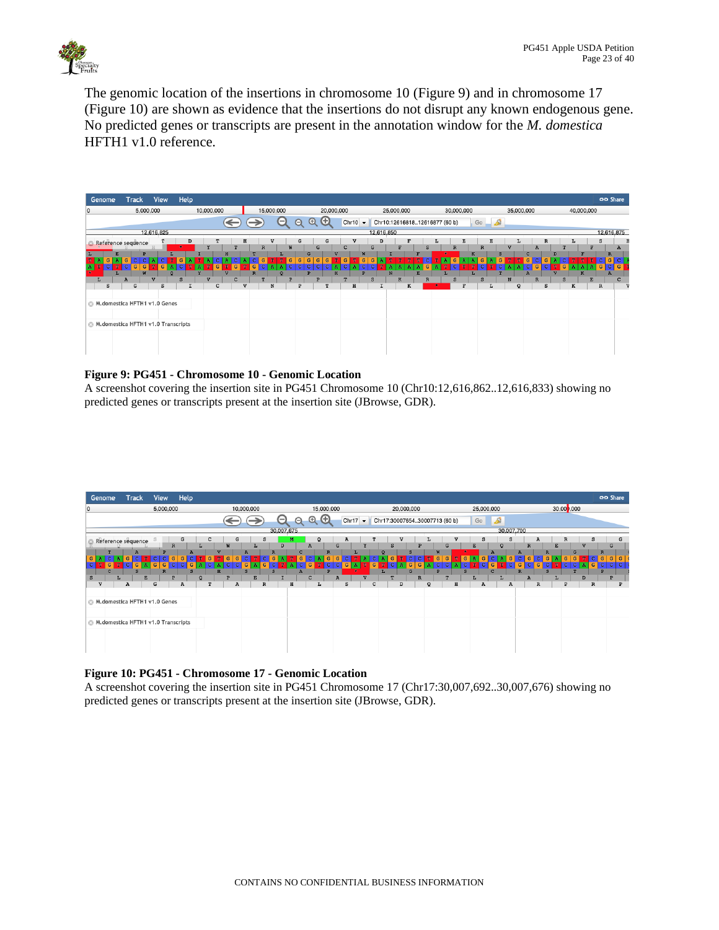

The genomic location of the insertions in chromosome 10 [\(Figure 9\)](#page-22-0) and in chromosome 17 [\(Figure 10\)](#page-22-1) are shown as evidence that the insertions do not disrupt any known endogenous gene. No predicted genes or transcripts are present in the annotation window for the *M. domestica* HFTH1 v1.0 reference.



### <span id="page-22-0"></span>**Figure 9: PG451 - Chromosome 10 - Genomic Location**

A screenshot covering the insertion site in PG451 Chromosome 10 (Chr10:12,616,862..12,616,833) showing no predicted genes or transcripts present at the insertion site (JBrowse, GDR).



#### <span id="page-22-1"></span>**Figure 10: PG451 - Chromosome 17 - Genomic Location**

A screenshot covering the insertion site in PG451 Chromosome 17 (Chr17:30,007,692..30,007,676) showing no predicted genes or transcripts present at the insertion site (JBrowse, GDR).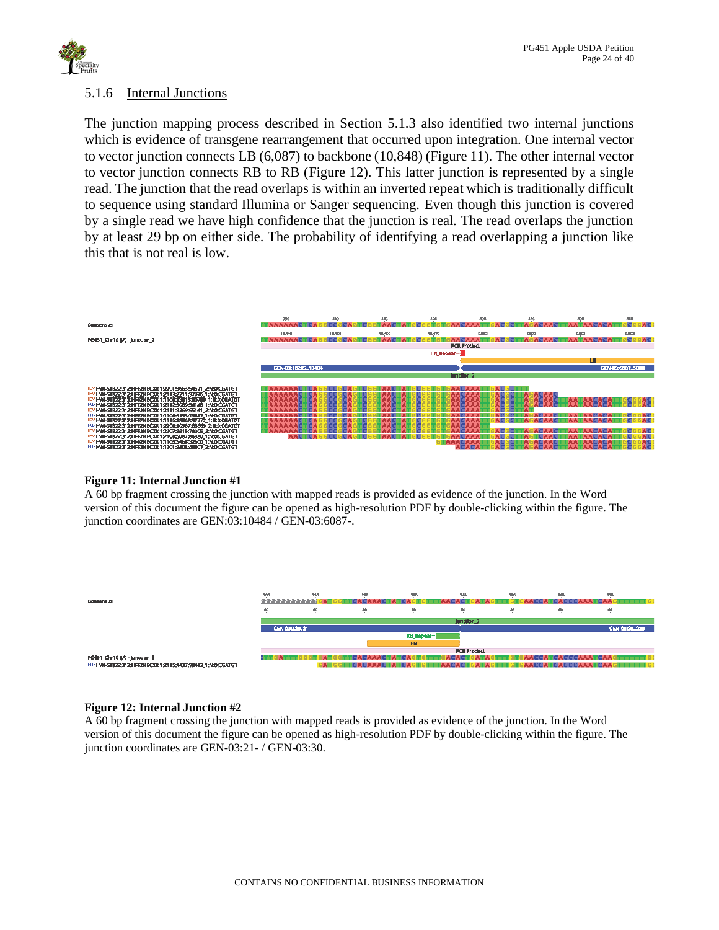

### <span id="page-23-0"></span>5.1.6 Internal Junctions

The junction mapping process described in Section 5.1.3 also identified two internal junctions which is evidence of transgene rearrangement that occurred upon integration. One internal vector to vector junction connects LB (6,087) to backbone (10,848) [\(Figure](#page-23-1) 11). The other internal vector to vector junction connects RB to RB [\(Figure 12\)](#page-23-2). This latter junction is represented by a single read. The junction that the read overlaps is within an inverted repeat which is traditionally difficult to sequence using standard Illumina or Sanger sequencing. Even though this junction is covered by a single read we have high confidence that the junction is real. The read overlaps the junction by at least 29 bp on either side. The probability of identifying a read overlapping a junction like this that is not real is low.



### <span id="page-23-1"></span>**Figure 11: Internal Junction #1**

A 60 bp fragment crossing the junction with mapped reads is provided as evidence of the junction. In the Word version of this document the figure can be opened as high-resolution PDF by double-clicking within the figure. The junction coordinates are GEN:03:10484 / GEN-03:6087-.



### <span id="page-23-2"></span>**Figure 12: Internal Junction #2**

A 60 bp fragment crossing the junction with mapped reads is provided as evidence of the junction. In the Word version of this document the figure can be opened as high-resolution PDF by double-clicking within the figure. The junction coordinates are GEN-03:21- / GEN-03:30.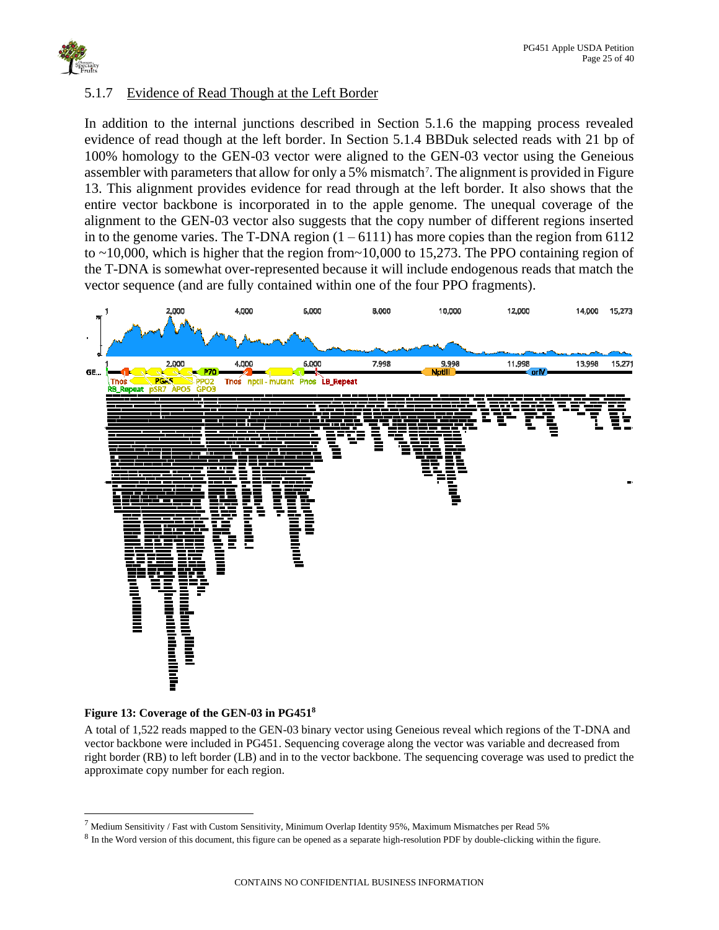

## <span id="page-24-0"></span>5.1.7 Evidence of Read Though at the Left Border

In addition to the internal junctions described in Section 5.1.6 the mapping process revealed evidence of read though at the left border. In Section 5.1.4 BBDuk selected reads with 21 bp of 100% homology to the GEN-03 vector were aligned to the GEN-03 vector using the Geneious assembler with parameters that allow for only a 5% mismatch<sup>7</sup>. The alignment is provided in Figure [13.](#page-24-1) This alignment provides evidence for read through at the left border. It also shows that the entire vector backbone is incorporated in to the apple genome. The unequal coverage of the alignment to the GEN-03 vector also suggests that the copy number of different regions inserted in to the genome varies. The T-DNA region  $(1 - 6111)$  has more copies than the region from 6112 to  $\sim$ 10,000, which is higher that the region from  $\sim$ 10,000 to 15,273. The PPO containing region of the T-DNA is somewhat over-represented because it will include endogenous reads that match the vector sequence (and are fully contained within one of the four PPO fragments).



### <span id="page-24-1"></span>**Figure 13: Coverage of the GEN-03 in PG451<sup>8</sup>**

A total of 1,522 reads mapped to the GEN-03 binary vector using Geneious reveal which regions of the T-DNA and vector backbone were included in PG451. Sequencing coverage along the vector was variable and decreased from right border (RB) to left border (LB) and in to the vector backbone. The sequencing coverage was used to predict the approximate copy number for each region.

 $^7$  Medium Sensitivity / Fast with Custom Sensitivity, Minimum Overlap Identity 95%, Maximum Mismatches per Read 5%

 $8$  In the Word version of this document, this figure can be opened as a separate high-resolution PDF by double-clicking within the figure.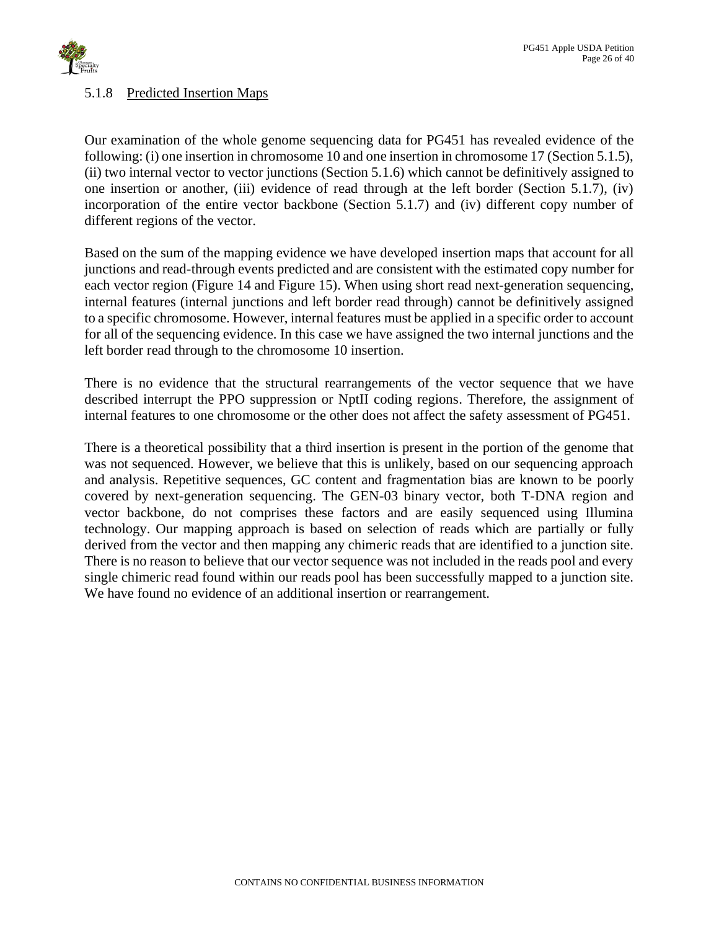

### <span id="page-25-0"></span>5.1.8 Predicted Insertion Maps

Our examination of the whole genome sequencing data for PG451 has revealed evidence of the following: (i) one insertion in chromosome 10 and one insertion in chromosome 17 (Section 5.1.5), (ii) two internal vector to vector junctions (Section 5.1.6) which cannot be definitively assigned to one insertion or another, (iii) evidence of read through at the left border (Section 5.1.7), (iv) incorporation of the entire vector backbone (Section 5.1.7) and (iv) different copy number of different regions of the vector.

Based on the sum of the mapping evidence we have developed insertion maps that account for all junctions and read-through events predicted and are consistent with the estimated copy number for each vector region [\(Figure 14](#page-26-0) and [Figure 15\)](#page-27-0). When using short read next-generation sequencing, internal features (internal junctions and left border read through) cannot be definitively assigned to a specific chromosome. However, internal features must be applied in a specific order to account for all of the sequencing evidence. In this case we have assigned the two internal junctions and the left border read through to the chromosome 10 insertion.

There is no evidence that the structural rearrangements of the vector sequence that we have described interrupt the PPO suppression or NptII coding regions. Therefore, the assignment of internal features to one chromosome or the other does not affect the safety assessment of PG451.

There is a theoretical possibility that a third insertion is present in the portion of the genome that was not sequenced. However, we believe that this is unlikely, based on our sequencing approach and analysis. Repetitive sequences, GC content and fragmentation bias are known to be poorly covered by next-generation sequencing. The GEN-03 binary vector, both T-DNA region and vector backbone, do not comprises these factors and are easily sequenced using Illumina technology. Our mapping approach is based on selection of reads which are partially or fully derived from the vector and then mapping any chimeric reads that are identified to a junction site. There is no reason to believe that our vector sequence was not included in the reads pool and every single chimeric read found within our reads pool has been successfully mapped to a junction site. We have found no evidence of an additional insertion or rearrangement.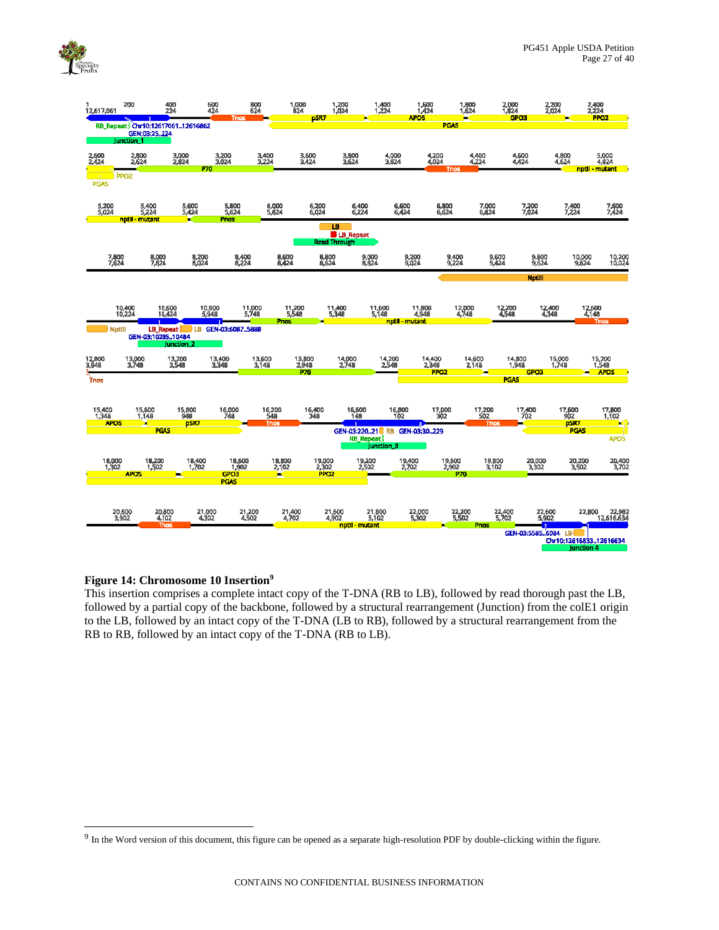

| 12,617,061                                 | 200                                                                    | 400<br>224                         | 600<br>424      | 800<br>624<br><b>Tnos</b> |                              | 1,000<br>824<br>pSR7                | 1,200<br>1,024                                    | 1,400<br>1,224        | 1,500<br>1,424<br>APO <sub>5</sub>  | 1,800<br>1,624<br>ь           |                                      | 2,000<br>1,824<br><b>GPO3</b> | 2,200<br>2,024                       | 2,400<br>2,224<br>PPO <sub>2</sub> |
|--------------------------------------------|------------------------------------------------------------------------|------------------------------------|-----------------|---------------------------|------------------------------|-------------------------------------|---------------------------------------------------|-----------------------|-------------------------------------|-------------------------------|--------------------------------------|-------------------------------|--------------------------------------|------------------------------------|
|                                            | RB_Repeat Chr10:1261706112616862<br>GEN:03:25.224<br><b>Junction 1</b> |                                    |                 |                           |                              |                                     |                                                   |                       |                                     | <b>PGAS</b>                   |                                      |                               |                                      |                                    |
| 2,600<br>2,424<br><b>IL</b><br><b>PGAS</b> | 2,800<br>2,624<br><b>PPO2</b>                                          | 3,000<br>2,824                     | 270             | 3,200<br>3,024            | 3,400<br>3,224               | 3,600<br>3,424                      | 3,800<br>3,624                                    | 4,000<br>3,824        | 4,200<br>4,024                      | Tnos                          | 4,400<br>4,224                       | 4,600<br>4,424                | 4,800<br>4,624                       | 5,000<br>4,824<br>nptil - mutant   |
| 5,200<br>5,024                             | 5,400<br>5,224<br>nptil - mutant                                       | 5,600<br>5,424                     |                 | 5,800<br>5,624<br>Pnos    | 6,000<br>5,824               | 6,200<br>6,024                      | 6,400<br>6,224                                    | 6,600<br>6,424        |                                     | 6,800<br>6,624                | 7,000<br>6,824                       | 7,200<br>7,024                | 7,400<br>7,224                       | 7,600<br>7,424                     |
|                                            |                                                                        |                                    |                 |                           |                              |                                     | LB.<br><b>B</b> -LB_Repeat<br><b>Read Through</b> |                       |                                     |                               |                                      |                               |                                      |                                    |
| 7,800<br>7,624                             | 8,000<br>7,824                                                         |                                    | 8,200<br>8,024  | 8,400<br>8,224            | 8,600<br>8,424               | 8,800<br>8,624                      |                                                   | 9,000<br>8,824        | 9,200<br>9,024                      | 9,400<br>9,224                | 9,600<br>9,424                       | 9,800<br>9,624                | 10,000<br>9,824                      | 10,200<br>10,024                   |
|                                            |                                                                        |                                    |                 |                           |                              |                                     |                                                   |                       |                                     |                               |                                      | <b>Nptlll</b>                 |                                      |                                    |
|                                            | 10,400<br>10,224                                                       | 10,600<br>10,424                   | 10,800<br>5,948 | 11,000<br>5,748           | 11,200<br>5,548<br>Pnos      |                                     | 11,400<br>5,348                                   | 11,600<br>5,148       | 11,800<br>4,948<br>nptil - mutant   | 12,000<br>4,748               | 12,200<br>4,548                      |                               | 12,400<br>4,348                      | 12,600<br>4,148<br><b>Trios</b>    |
| <b>Nptlll</b>                              | GEN-03:1028510484                                                      | LB Repeat<br>Junction <sub>2</sub> |                 | LB GEN-03:6087.5888       |                              |                                     |                                                   |                       |                                     |                               |                                      |                               |                                      |                                    |
| 12,800<br>3,948                            | 13,000<br>3,748                                                        | 13,200<br>3,548                    | 13,400<br>3,348 |                           | 13,600<br>3,148              | 13,800<br>2,948<br>P70              | 14,000<br>2,748                                   | 14,200<br>2,548       | 14,400<br>2,348<br>PPO <sub>2</sub> | 14,600<br>2,148               |                                      | 14,800<br>1,948<br>GPO3       | 15,000<br>1,748                      | 15,200<br>1,548<br><b>APOS</b>     |
| Trios                                      |                                                                        |                                    |                 |                           |                              |                                     |                                                   |                       |                                     |                               |                                      | <b>PCAS</b>                   |                                      |                                    |
| 15,400<br>1,348<br><b>APOS</b>             | 15,600<br>1,148<br>×                                                   | 15,800<br>948                      | psitz           | 16,000<br>748             | 16,200<br>548<br><b>Tnos</b> | 16,400<br>348                       | 16,600<br>148                                     | 16,800                |                                     | 17,000<br>302                 | 17,200<br>502<br><b>Trios</b>        | 17,400<br>702                 | 17,500<br>902<br>pSR7                | 17,800<br>1,102                    |
|                                            |                                                                        | <b>PCAS</b>                        |                 |                           |                              |                                     | <b>RB_Repeat-I</b>                                | Junction <sub>3</sub> | GEN-03:22021 RB GEN-03:30229        |                               |                                      |                               | <b>PCAS</b>                          | <b>DATE</b><br>APO <sub>5</sub>    |
| 18,000<br>1,302                            | 18,200<br>1,502<br><b>APO5</b>                                         |                                    | 18,400<br>1,702 | 18,600<br>1,902<br>GPO3   | 18,800<br>2,102<br>×         | 19,000<br>2,302<br>PP <sub>C2</sub> | 19,200<br>2,502                                   |                       | 19,400<br>2.702                     | 19,600<br>2,902<br><b>P70</b> | 19,800<br>3,102                      | 20,000<br>3,302               | 20,200<br>3,502                      | 20,400<br>3,702                    |
|                                            |                                                                        |                                    |                 | <b>PGAS</b>               |                              |                                     |                                                   |                       |                                     |                               |                                      |                               |                                      |                                    |
|                                            | 20,600<br>3,902                                                        | 20,800<br>4,102<br><b>Trios</b>    | 21,000<br>4,302 | 21,200<br>4,502           | 21,400<br>4,702              |                                     | 21,600<br>4,902<br>nptil - mutant                 | 21,800<br>5,102       | 22,000<br>5,302                     | 22,200<br>5,502               | 22,400<br>5,702<br>Phos <sub>1</sub> | 22,600<br>5,902               | 22,800                               | 0 22,982<br>12,616,634             |
|                                            |                                                                        |                                    |                 |                           |                              |                                     |                                                   |                       |                                     |                               |                                      | GEN-03:5585.,6084 LB          | Chr10:1261683312616634<br>Junction 4 |                                    |

### <span id="page-26-0"></span>**Figure 14: Chromosome 10 Insertion<sup>9</sup>**

This insertion comprises a complete intact copy of the T-DNA (RB to LB), followed by read thorough past the LB, followed by a partial copy of the backbone, followed by a structural rearrangement (Junction) from the colE1 origin to the LB, followed by an intact copy of the T-DNA (LB to RB), followed by a structural rearrangement from the RB to RB, followed by an intact copy of the T-DNA (RB to LB).

 $9$  In the Word version of this document, this figure can be opened as a separate high-resolution PDF by double-clicking within the figure.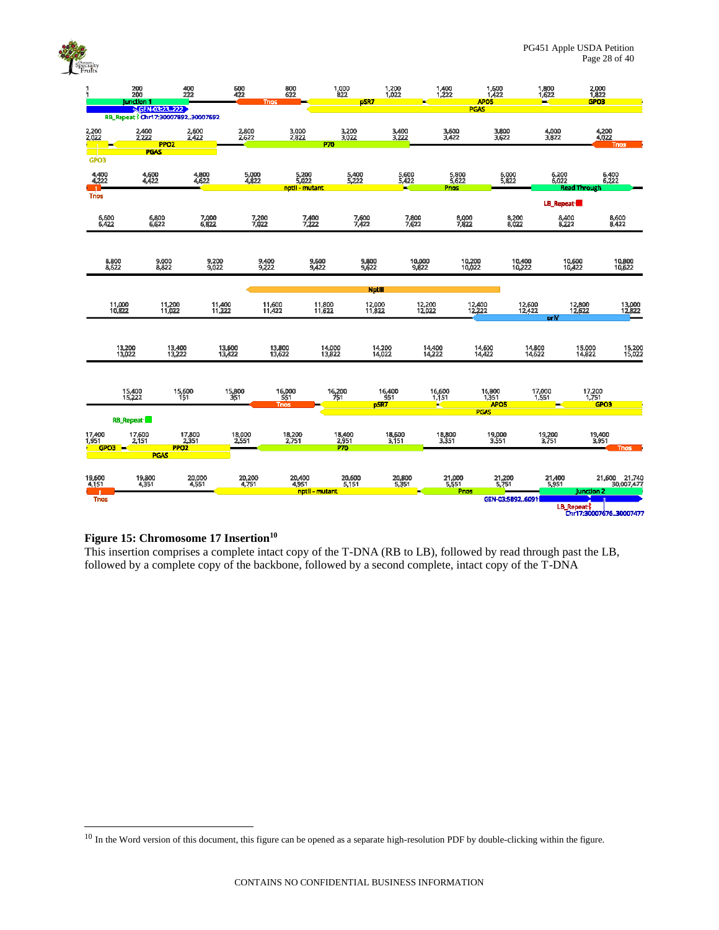

|                                  | 200<br>200<br><b>Junction 1</b>    |                                 | 400<br>222      | 600<br>422       | <b>Tnos</b>            | 800<br>622                       | 1,000<br>822           | 1,200<br>1,022<br>pSR7 |                     | 1,400                          | 1,500<br>1,422<br>APO <sub>5</sub>  |                   | 1,800<br>1,622                        | 2,000<br>1,822<br>GPO3  |                             |
|----------------------------------|------------------------------------|---------------------------------|-----------------|------------------|------------------------|----------------------------------|------------------------|------------------------|---------------------|--------------------------------|-------------------------------------|-------------------|---------------------------------------|-------------------------|-----------------------------|
|                                  | RB_Repeat 3 Chr17:3000789230007692 | SGEN-03:23.222                  |                 |                  |                        |                                  |                        |                        |                     |                                | PGAS                                |                   |                                       |                         |                             |
| 2,200<br>2,022                   | 2,400<br>2,222                     |                                 | 2,600<br>2,422  | 2,800<br>2,622   |                        | 3,000<br>2,822                   | 3,200<br>3,022         |                        | 3,400<br>3,222      | 3,600<br>3,422                 |                                     | 3,800<br>3,622    | 4,000<br>3,822                        | 4,200<br>4,022          |                             |
|                                  |                                    | <b>PPO2</b><br><b>PGAS</b>      |                 |                  |                        |                                  | P70                    |                        |                     |                                |                                     |                   |                                       |                         | <b>Trios</b>                |
| GPO3                             |                                    |                                 |                 |                  |                        |                                  |                        |                        |                     |                                |                                     |                   |                                       |                         |                             |
| 4,400<br>4,222<br>$\blacksquare$ | 4,600<br>4,422                     |                                 | 4,800<br>4,622  | 5,000<br>4,822   |                        | 5,200<br>5,022<br>nptil - mutant | 5,400                  |                        | 5,600<br>5,422<br>× | 5,800<br>5,622<br><b>Prios</b> |                                     | 6,000<br>5,822    | 6,200<br>6,022<br><b>Read Through</b> | 6,400<br>6,222          |                             |
| <b>Trios</b>                     |                                    |                                 |                 |                  |                        |                                  |                        |                        |                     |                                |                                     |                   | LB_Repeat-                            |                         |                             |
| 6,600<br>6,422                   |                                    | 6,800<br>6,622                  | 7,000<br>6,822  |                  | 7,200<br>7,022         | 7,400<br>7,222                   | 7,600<br>7,422         |                        | 7,800<br>7,622      | 8,000<br>7,822                 |                                     | 8,200<br>8,022    | 8,400<br>8,222                        |                         | 8,600<br>8,422              |
|                                  |                                    |                                 |                 |                  |                        |                                  |                        |                        |                     |                                |                                     |                   |                                       |                         |                             |
|                                  | 8,800<br>8,622                     | 9,000<br>8,822                  | 9,200<br>9,022  |                  | 9,400<br>9,222         | 9,600<br>9,422                   |                        | 9,800<br>9,622         | 10,000<br>9,822     |                                | 10,200<br>10,022                    | 10,400<br>10,222  | 10,600<br>10,422                      |                         | 10,800<br>10,622            |
|                                  |                                    |                                 |                 |                  |                        |                                  |                        | <b>NptIII</b>          |                     |                                |                                     |                   |                                       |                         |                             |
|                                  | 11,000<br>10,822                   | 11,200<br>11,022                | 11,400          |                  | 11,600<br>11,422       | 11,800<br>11,622                 |                        | 12,000<br>11,822       | 12,200<br>12,022    |                                | 12,400<br>12,222                    | 12,600<br>12,422  | 12,800<br>12,622                      |                         | 13,000<br>12,822            |
|                                  |                                    |                                 |                 |                  |                        |                                  |                        |                        |                     |                                |                                     |                   | orV                                   |                         |                             |
|                                  | 13,200<br>13,022                   | 13,400<br>13,222                |                 | 13,600<br>13,422 | 13,800<br>13,622       |                                  | 14,000<br>13,822       | 14,200<br>14,022       |                     | 14,400<br>14,222               | 14,600<br>14,422                    | 14,800<br>14,622  |                                       | 15,000<br>14,822        | 15,200<br>15,022            |
|                                  |                                    |                                 |                 |                  |                        |                                  |                        |                        |                     |                                |                                     |                   |                                       |                         |                             |
|                                  |                                    |                                 |                 |                  |                        |                                  |                        |                        |                     |                                |                                     |                   |                                       |                         |                             |
|                                  | 15,400<br>15,222                   |                                 | 15,600<br>151   | 15,800<br>351    | 16,000<br><b>Trios</b> |                                  | 16,200<br>751          | 16,400<br>951<br>pSR7  |                     | 16,600<br>1,151<br>K           | 16,800<br>1,351<br>APO <sub>5</sub> |                   | 17,000<br>1,551                       | 17,200<br>1,751<br>GPO3 |                             |
|                                  | <b>RB_Repeat:</b>                  |                                 |                 |                  |                        |                                  |                        |                        |                     |                                | <b>PGAS</b>                         |                   |                                       |                         |                             |
| 17,400<br>1,951                  | 17,600<br>2151                     |                                 | 17,800<br>2,351 | 18,000<br>2,551  |                        | 18,200<br>2,751                  | 18,400<br>2,951<br>P70 | 18,600<br>3,151        |                     | 18,800<br>3,351                | 19,000<br>3,551                     |                   | 19,200<br>3,751                       | 19,400<br>3,951         |                             |
| GPO3                             |                                    | PPO <sub>2</sub><br><b>PGAS</b> |                 |                  |                        |                                  |                        |                        |                     |                                |                                     |                   |                                       |                         | <b>Thos</b>                 |
| 19,600<br>4,151                  | 19,800<br>4,351                    |                                 | 20,000<br>4,551 | 20,200<br>4,751  |                        | 20,400<br>4,951                  | 20,600                 |                        | 20,800<br>5,351     | 21,000                         |                                     | 21,200<br>5,751   | 21,400<br>5,951                       |                         | 21,600 21,740<br>30,007,477 |
|                                  |                                    |                                 |                 |                  |                        | nptll - mutant                   |                        |                        |                     |                                | Prios                               |                   |                                       | Junction 2              |                             |
| <b>Thas</b>                      |                                    |                                 |                 |                  |                        |                                  |                        |                        |                     |                                |                                     | GEN-03:5892.,6091 | LB_Repeat                             | Chr17:3000767630007477  |                             |

### <span id="page-27-0"></span>**Figure 15: Chromosome 17 Insertion<sup>10</sup>**

This insertion comprises a complete intact copy of the T-DNA (RB to LB), followed by read through past the LB, followed by a complete copy of the backbone, followed by a second complete, intact copy of the T-DNA

 $10$  In the Word version of this document, this figure can be opened as a separate high-resolution PDF by double-clicking within the figure.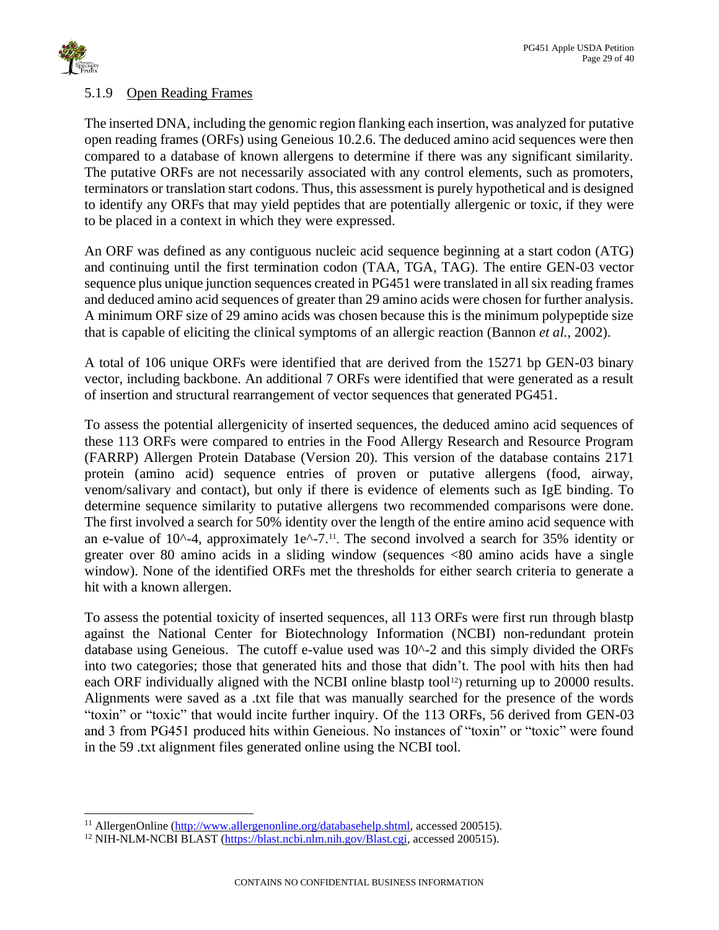

# <span id="page-28-0"></span>5.1.9 Open Reading Frames

The inserted DNA, including the genomic region flanking each insertion, was analyzed for putative open reading frames (ORFs) using Geneious 10.2.6. The deduced amino acid sequences were then compared to a database of known allergens to determine if there was any significant similarity. The putative ORFs are not necessarily associated with any control elements, such as promoters, terminators or translation start codons. Thus, this assessment is purely hypothetical and is designed to identify any ORFs that may yield peptides that are potentially allergenic or toxic, if they were to be placed in a context in which they were expressed.

An ORF was defined as any contiguous nucleic acid sequence beginning at a start codon (ATG) and continuing until the first termination codon (TAA, TGA, TAG). The entire GEN-03 vector sequence plus unique junction sequences created in PG451 were translated in all six reading frames and deduced amino acid sequences of greater than 29 amino acids were chosen for further analysis. A minimum ORF size of 29 amino acids was chosen because this is the minimum polypeptide size that is capable of eliciting the clinical symptoms of an allergic reaction (Bannon *et al.*, 2002).

A total of 106 unique ORFs were identified that are derived from the 15271 bp GEN-03 binary vector, including backbone. An additional 7 ORFs were identified that were generated as a result of insertion and structural rearrangement of vector sequences that generated PG451.

To assess the potential allergenicity of inserted sequences, the deduced amino acid sequences of these 113 ORFs were compared to entries in the Food Allergy Research and Resource Program (FARRP) Allergen Protein Database (Version 20). This version of the database contains 2171 protein (amino acid) sequence entries of proven or putative allergens (food, airway, venom/salivary and contact), but only if there is evidence of elements such as IgE binding. To determine sequence similarity to putative allergens two recommended comparisons were done. The first involved a search for 50% identity over the length of the entire amino acid sequence with an e-value of  $10^{\text{A}}-4$ , approximately  $1e^{\text{A}}-7$ .<sup>11</sup>. The second involved a search for 35% identity or greater over 80 amino acids in a sliding window (sequences <80 amino acids have a single window). None of the identified ORFs met the thresholds for either search criteria to generate a hit with a known allergen.

To assess the potential toxicity of inserted sequences, all 113 ORFs were first run through blastp against the National Center for Biotechnology Information (NCBI) non-redundant protein database using Geneious. The cutoff e-value used was 10^-2 and this simply divided the ORFs into two categories; those that generated hits and those that didn't. The pool with hits then had each ORF individually aligned with the NCBI online blastp tool<sup>12</sup>) returning up to 20000 results. Alignments were saved as a .txt file that was manually searched for the presence of the words "toxin" or "toxic" that would incite further inquiry. Of the 113 ORFs, 56 derived from GEN-03 and 3 from PG451 produced hits within Geneious. No instances of "toxin" or "toxic" were found in the 59 .txt alignment files generated online using the NCBI tool.

<sup>&</sup>lt;sup>11</sup> AllergenOnline [\(http://www.allergenonline.org/databasehelp.shtml,](http://www.allergenonline.org/databasehelp.shtml) accessed 200515).

<sup>&</sup>lt;sup>12</sup> NIH-NLM-NCBI BLAST [\(https://blast.ncbi.nlm.nih.gov/Blast.cgi,](https://blast.ncbi.nlm.nih.gov/Blast.cgi) accessed 200515).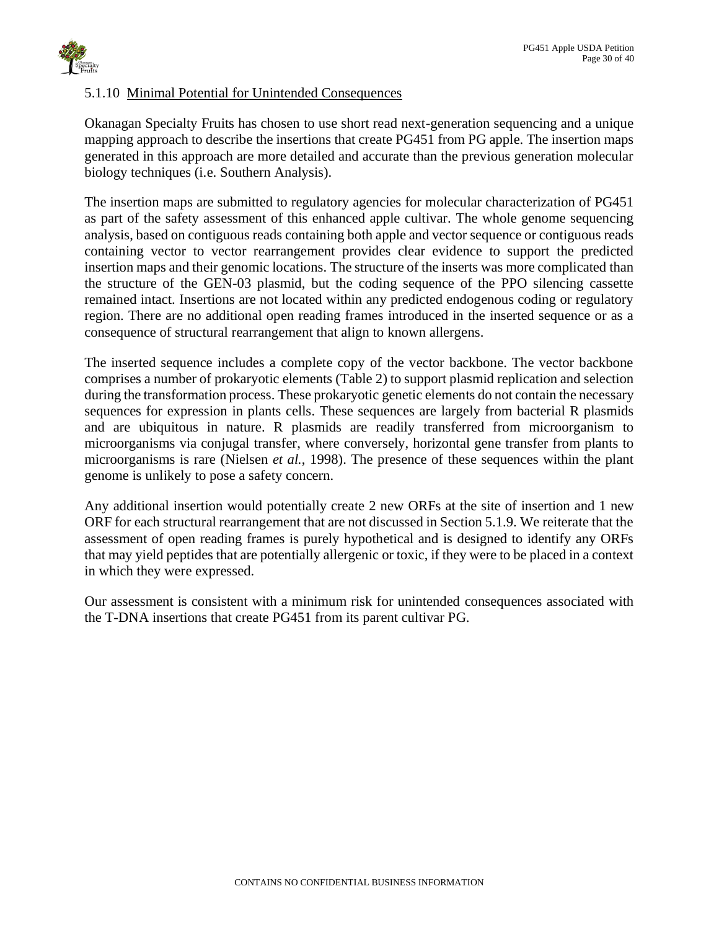

# <span id="page-29-0"></span>5.1.10 Minimal Potential for Unintended Consequences

Okanagan Specialty Fruits has chosen to use short read next-generation sequencing and a unique mapping approach to describe the insertions that create PG451 from PG apple. The insertion maps generated in this approach are more detailed and accurate than the previous generation molecular biology techniques (i.e. Southern Analysis).

The insertion maps are submitted to regulatory agencies for molecular characterization of PG451 as part of the safety assessment of this enhanced apple cultivar. The whole genome sequencing analysis, based on contiguous reads containing both apple and vector sequence or contiguous reads containing vector to vector rearrangement provides clear evidence to support the predicted insertion maps and their genomic locations. The structure of the inserts was more complicated than the structure of the GEN-03 plasmid, but the coding sequence of the PPO silencing cassette remained intact. Insertions are not located within any predicted endogenous coding or regulatory region. There are no additional open reading frames introduced in the inserted sequence or as a consequence of structural rearrangement that align to known allergens.

The inserted sequence includes a complete copy of the vector backbone. The vector backbone comprises a number of prokaryotic elements [\(Table 2\)](#page-13-0) to support plasmid replication and selection during the transformation process. These prokaryotic genetic elements do not contain the necessary sequences for expression in plants cells. These sequences are largely from bacterial R plasmids and are ubiquitous in nature. R plasmids are readily transferred from microorganism to microorganisms via conjugal transfer, where conversely, horizontal gene transfer from plants to microorganisms is rare (Nielsen *et al.*, 1998). The presence of these sequences within the plant genome is unlikely to pose a safety concern.

Any additional insertion would potentially create 2 new ORFs at the site of insertion and 1 new ORF for each structural rearrangement that are not discussed in Section 5.1.9. We reiterate that the assessment of open reading frames is purely hypothetical and is designed to identify any ORFs that may yield peptides that are potentially allergenic or toxic, if they were to be placed in a context in which they were expressed.

Our assessment is consistent with a minimum risk for unintended consequences associated with the T-DNA insertions that create PG451 from its parent cultivar PG.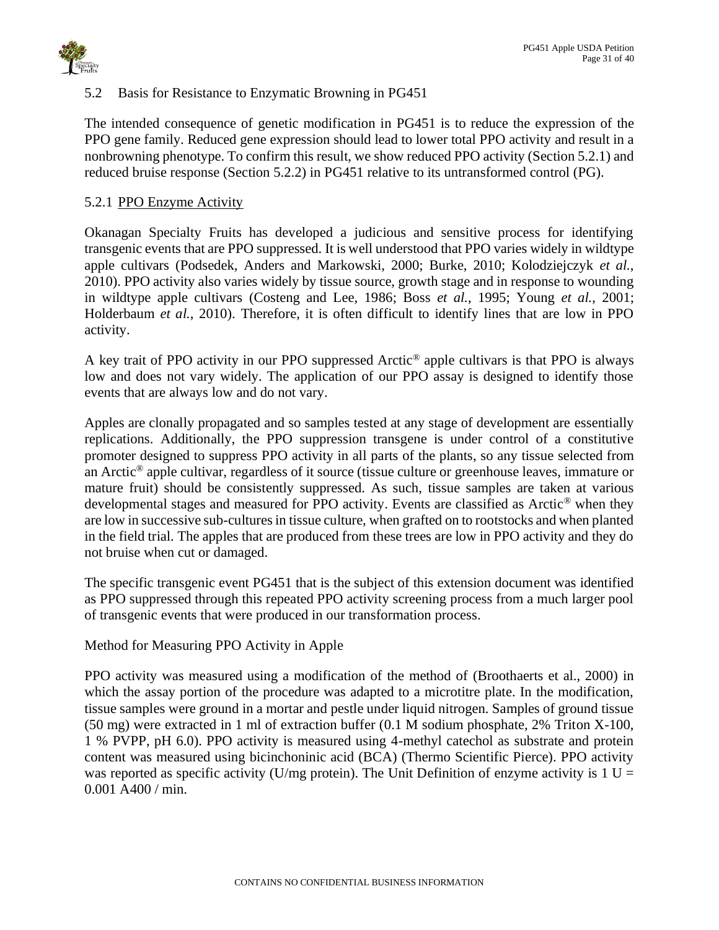

# <span id="page-30-0"></span>5.2 Basis for Resistance to Enzymatic Browning in PG451

The intended consequence of genetic modification in PG451 is to reduce the expression of the PPO gene family. Reduced gene expression should lead to lower total PPO activity and result in a nonbrowning phenotype. To confirm this result, we show reduced PPO activity (Section 5.2.1) and reduced bruise response (Section 5.2.2) in PG451 relative to its untransformed control (PG).

### <span id="page-30-1"></span>5.2.1 PPO Enzyme Activity

Okanagan Specialty Fruits has developed a judicious and sensitive process for identifying transgenic events that are PPO suppressed. It is well understood that PPO varies widely in wildtype apple cultivars (Podsedek, Anders and Markowski, 2000; Burke, 2010; Kolodziejczyk *et al.*, 2010). PPO activity also varies widely by tissue source, growth stage and in response to wounding in wildtype apple cultivars (Costeng and Lee, 1986; Boss *et al.*, 1995; Young *et al.*, 2001; Holderbaum *et al.*, 2010). Therefore, it is often difficult to identify lines that are low in PPO activity.

A key trait of PPO activity in our PPO suppressed Arctic® apple cultivars is that PPO is always low and does not vary widely. The application of our PPO assay is designed to identify those events that are always low and do not vary.

Apples are clonally propagated and so samples tested at any stage of development are essentially replications. Additionally, the PPO suppression transgene is under control of a constitutive promoter designed to suppress PPO activity in all parts of the plants, so any tissue selected from an Arctic® apple cultivar, regardless of it source (tissue culture or greenhouse leaves, immature or mature fruit) should be consistently suppressed. As such, tissue samples are taken at various developmental stages and measured for PPO activity. Events are classified as Arctic® when they are low in successive sub-cultures in tissue culture, when grafted on to rootstocks and when planted in the field trial. The apples that are produced from these trees are low in PPO activity and they do not bruise when cut or damaged.

The specific transgenic event PG451 that is the subject of this extension document was identified as PPO suppressed through this repeated PPO activity screening process from a much larger pool of transgenic events that were produced in our transformation process.

Method for Measuring PPO Activity in Apple

PPO activity was measured using a modification of the method of (Broothaerts et al., 2000) in which the assay portion of the procedure was adapted to a microtitre plate. In the modification, tissue samples were ground in a mortar and pestle under liquid nitrogen. Samples of ground tissue (50 mg) were extracted in 1 ml of extraction buffer (0.1 M sodium phosphate, 2% Triton X-100, 1 % PVPP, pH 6.0). PPO activity is measured using 4-methyl catechol as substrate and protein content was measured using bicinchoninic acid (BCA) (Thermo Scientific Pierce). PPO activity was reported as specific activity (U/mg protein). The Unit Definition of enzyme activity is  $1 U =$ 0.001 A400 / min.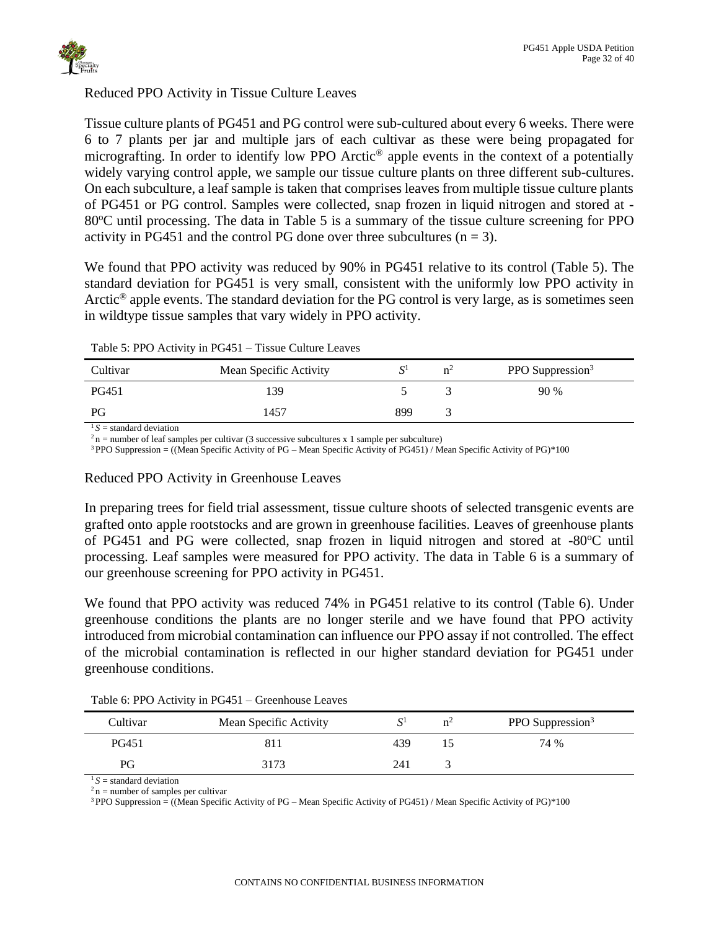

## Reduced PPO Activity in Tissue Culture Leaves

Tissue culture plants of PG451 and PG control were sub-cultured about every 6 weeks. There were 6 to 7 plants per jar and multiple jars of each cultivar as these were being propagated for micrografting. In order to identify low PPO Arctic® apple events in the context of a potentially widely varying control apple, we sample our tissue culture plants on three different sub-cultures. On each subculture, a leaf sample is taken that comprises leaves from multiple tissue culture plants of PG451 or PG control. Samples were collected, snap frozen in liquid nitrogen and stored at -  $80^{\circ}$ C until processing. The data in [Table 5](#page-31-0) is a summary of the tissue culture screening for PPO activity in PG451 and the control PG done over three subcultures  $(n = 3)$ .

We found that PPO activity was reduced by 90% in PG451 relative to its control (Table 5). The standard deviation for PG451 is very small, consistent with the uniformly low PPO activity in Arctic® apple events. The standard deviation for the PG control is very large, as is sometimes seen in wildtype tissue samples that vary widely in PPO activity.

### <span id="page-31-0"></span>Table 5: PPO Activity in PG451 – Tissue Culture Leaves

| Cultivar     | Mean Specific Activity |     | $n^2$ | PPO Suppression <sup>3</sup> |
|--------------|------------------------|-----|-------|------------------------------|
| <b>PG451</b> | 39                     |     |       | 90 %                         |
| PG           | 1457                   | 899 |       |                              |

 $\sqrt{1}S$  = standard deviation

<sup>3</sup> PPO Suppression = ((Mean Specific Activity of PG – Mean Specific Activity of PG451) / Mean Specific Activity of PG)\*100

### Reduced PPO Activity in Greenhouse Leaves

In preparing trees for field trial assessment, tissue culture shoots of selected transgenic events are grafted onto apple rootstocks and are grown in greenhouse facilities. Leaves of greenhouse plants of PG451 and PG were collected, snap frozen in liquid nitrogen and stored at -80°C until processing. Leaf samples were measured for PPO activity. The data in [Table 6](#page-31-1) is a summary of our greenhouse screening for PPO activity in PG451.

We found that PPO activity was reduced 74% in PG451 relative to its control [\(Table 6\)](#page-31-1). Under greenhouse conditions the plants are no longer sterile and we have found that PPO activity introduced from microbial contamination can influence our PPO assay if not controlled. The effect of the microbial contamination is reflected in our higher standard deviation for PG451 under greenhouse conditions.

| Cultivar | Mean Specific Activity |     | $n^2$ | PPO Suppression <sup>3</sup> |
|----------|------------------------|-----|-------|------------------------------|
| PG451    |                        | 439 |       | 74 %                         |
| PG       | 3173                   | 241 |       |                              |

<span id="page-31-1"></span>Table 6: PPO Activity in PG451 – Greenhouse Leaves

 $1 S =$  standard deviation

 $2n$  = number of samples per cultivar

 $3$  PPO Suppression = ((Mean Specific Activity of PG – Mean Specific Activity of PG451) / Mean Specific Activity of PG)\*100

 $2n$  = number of leaf samples per cultivar (3 successive subcultures x 1 sample per subculture)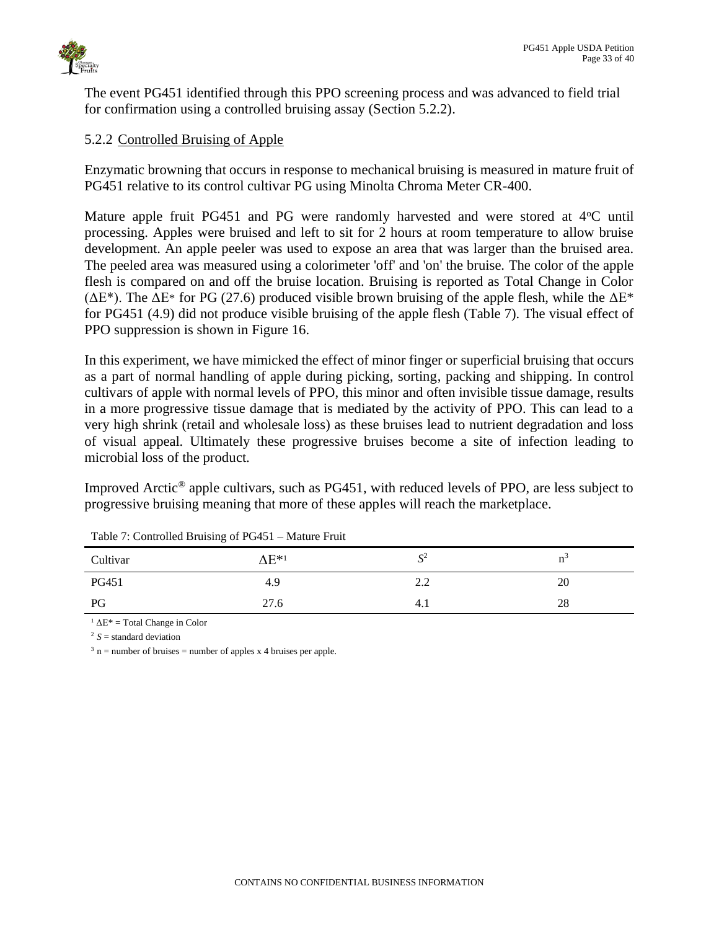

The event PG451 identified through this PPO screening process and was advanced to field trial for confirmation using a controlled bruising assay (Section 5.2.2).

# <span id="page-32-0"></span>5.2.2 Controlled Bruising of Apple

Enzymatic browning that occurs in response to mechanical bruising is measured in mature fruit of PG451 relative to its control cultivar PG using Minolta Chroma Meter CR-400.

Mature apple fruit PG451 and PG were randomly harvested and were stored at  $4^{\circ}$ C until processing. Apples were bruised and left to sit for 2 hours at room temperature to allow bruise development. An apple peeler was used to expose an area that was larger than the bruised area. The peeled area was measured using a colorimeter 'off' and 'on' the bruise. The color of the apple flesh is compared on and off the bruise location. Bruising is reported as Total Change in Color ( $\Delta E^*$ ). The  $\Delta E^*$  for PG (27.6) produced visible brown bruising of the apple flesh, while the  $\Delta E^*$ for PG451 (4.9) did not produce visible bruising of the apple flesh [\(Table 7\)](#page-32-1). The visual effect of PPO suppression is shown in [Figure 16.](#page-33-0)

In this experiment, we have mimicked the effect of minor finger or superficial bruising that occurs as a part of normal handling of apple during picking, sorting, packing and shipping. In control cultivars of apple with normal levels of PPO, this minor and often invisible tissue damage, results in a more progressive tissue damage that is mediated by the activity of PPO. This can lead to a very high shrink (retail and wholesale loss) as these bruises lead to nutrient degradation and loss of visual appeal. Ultimately these progressive bruises become a site of infection leading to microbial loss of the product.

Improved Arctic® apple cultivars, such as PG451, with reduced levels of PPO, are less subject to progressive bruising meaning that more of these apples will reach the marketplace.

| Tuble 7: Controlled Brunship of 1 S 151 Thrutter Fruit |                           |            |                |  |  |  |  |  |
|--------------------------------------------------------|---------------------------|------------|----------------|--|--|--|--|--|
| Cultivar                                               | $\Lambda$ E* <sup>1</sup> | $S^2$      | n <sup>3</sup> |  |  |  |  |  |
| PG451                                                  | 4.9                       | າ າ<br>4.4 | 20             |  |  |  |  |  |
| PG                                                     | 27.6                      | 4.1        | 28             |  |  |  |  |  |

<span id="page-32-1"></span>Table 7: Controlled Bruising of PG451 – Mature Fruit

<sup>1</sup>  $ΔE* = Total Change in Color$ 

 $2 S =$  standard deviation

 $3 \text{ n}$  = number of bruises = number of apples x 4 bruises per apple.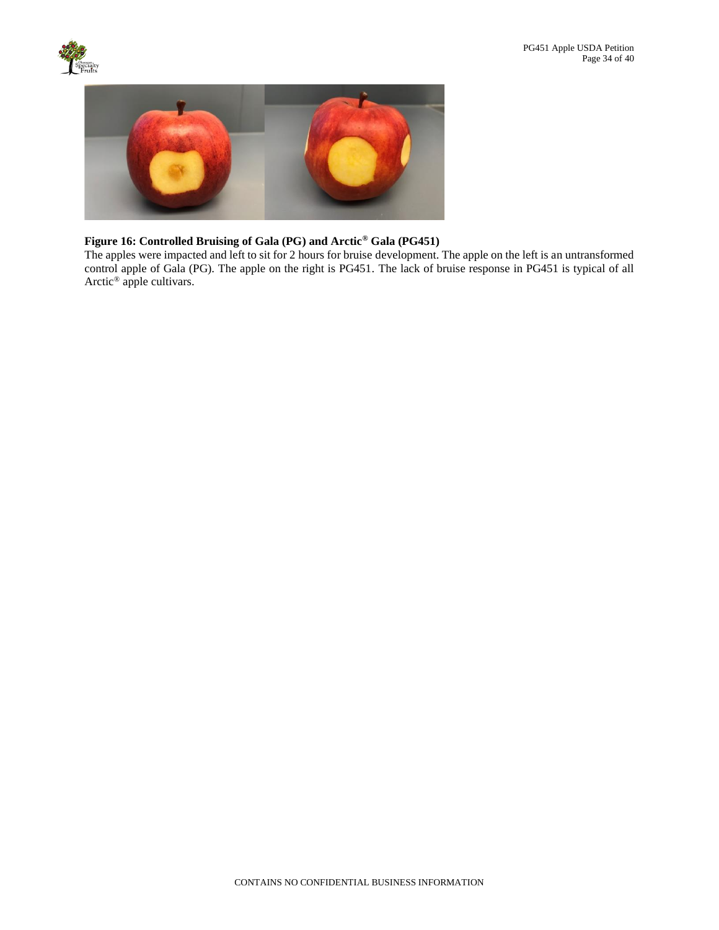



### <span id="page-33-0"></span>**Figure 16: Controlled Bruising of Gala (PG) and Arctic® Gala (PG451)**

The apples were impacted and left to sit for 2 hours for bruise development. The apple on the left is an untransformed control apple of Gala (PG). The apple on the right is PG451. The lack of bruise response in PG451 is typical of all Arctic<sup>®</sup> apple cultivars.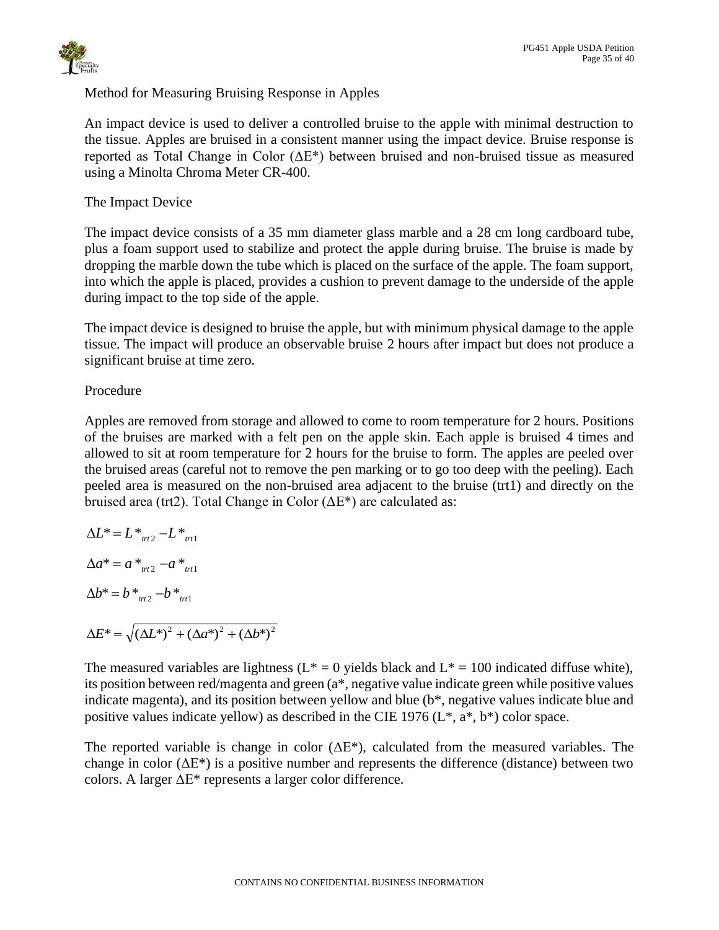

# Method for Measuring Bruising Response in Apples

An impact device is used to deliver a controlled bruise to the apple with minimal destruction to the tissue. Apples are bruised in a consistent manner using the impact device. Bruise response is reported as Total Change in Color (ΔE\*) between bruised and non-bruised tissue as measured using a Minolta Chroma Meter CR-400.

The Impact Device

The impact device consists of a 35 mm diameter glass marble and a 28 cm long cardboard tube, plus a foam support used to stabilize and protect the apple during bruise. The bruise is made by dropping the marble down the tube which is placed on the surface of the apple. The foam support, into which the apple is placed, provides a cushion to prevent damage to the underside of the apple during impact to the top side of the apple.

The impact device is designed to bruise the apple, but with minimum physical damage to the apple tissue. The impact will produce an observable bruise 2 hours after impact but does not produce a significant bruise at time zero.

# Procedure

Apples are removed from storage and allowed to come to room temperature for 2 hours. Positions of the bruises are marked with a felt pen on the apple skin. Each apple is bruised 4 times and allowed to sit at room temperature for 2 hours for the bruise to form. The apples are peeled over the bruised areas (careful not to remove the pen marking or to go too deep with the peeling). Each peeled area is measured on the non-bruised area adjacent to the bruise (trt1) and directly on the bruised area (trt2). Total Change in Color ( $\Delta E^*$ ) are calculated as:

$$
\Delta L^* = L^*_{tt2} - L^*_{tt1}
$$
  
\n
$$
\Delta a^* = a^*_{tt2} - a^*_{tt1}
$$
  
\n
$$
\Delta b^* = b^*_{tt2} - b^*_{tt1}
$$
  
\n
$$
\Delta E^* = \sqrt{(\Delta L^*)^2 + (\Delta a^*)^2 + (\Delta b^*)^2}
$$

The measured variables are lightness ( $L^* = 0$  yields black and  $L^* = 100$  indicated diffuse white), its position between red/magenta and green (a\*, negative value indicate green while positive values indicate magenta), and its position between yellow and blue (b\*, negative values indicate blue and positive values indicate yellow) as described in the CIE 1976  $(L^*, a^*, b^*)$  color space.

The reported variable is change in color  $(\Delta E^*)$ , calculated from the measured variables. The change in color  $(\Delta E^*)$  is a positive number and represents the difference (distance) between two colors. A larger ΔE\* represents a larger color difference.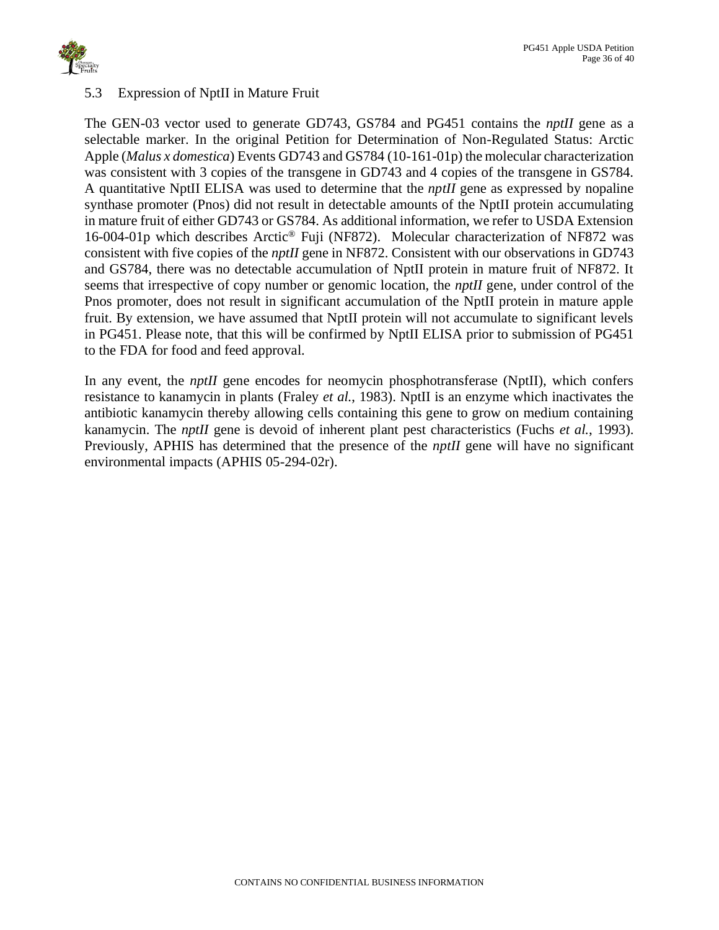

## <span id="page-35-0"></span>5.3 Expression of NptII in Mature Fruit

The GEN-03 vector used to generate GD743, GS784 and PG451 contains the *nptII* gene as a selectable marker. In the original Petition for Determination of Non-Regulated Status: Arctic Apple (*Malus x domestica*) Events GD743 and GS784 (10-161-01p) the molecular characterization was consistent with 3 copies of the transgene in GD743 and 4 copies of the transgene in GS784. A quantitative NptII ELISA was used to determine that the *nptII* gene as expressed by nopaline synthase promoter (Pnos) did not result in detectable amounts of the NptII protein accumulating in mature fruit of either GD743 or GS784. As additional information, we refer to USDA Extension 16-004-01p which describes Arctic® Fuji (NF872). Molecular characterization of NF872 was consistent with five copies of the *nptII* gene in NF872. Consistent with our observations in GD743 and GS784, there was no detectable accumulation of NptII protein in mature fruit of NF872. It seems that irrespective of copy number or genomic location, the *nptII* gene, under control of the Pnos promoter, does not result in significant accumulation of the NptII protein in mature apple fruit. By extension, we have assumed that NptII protein will not accumulate to significant levels in PG451. Please note, that this will be confirmed by NptII ELISA prior to submission of PG451 to the FDA for food and feed approval.

In any event, the *nptII* gene encodes for neomycin phosphotransferase (NptII), which confers resistance to kanamycin in plants (Fraley *et al.*, 1983). NptII is an enzyme which inactivates the antibiotic kanamycin thereby allowing cells containing this gene to grow on medium containing kanamycin. The *nptII* gene is devoid of inherent plant pest characteristics (Fuchs *et al.*, 1993). Previously, APHIS has determined that the presence of the *nptII* gene will have no significant environmental impacts (APHIS 05-294-02r).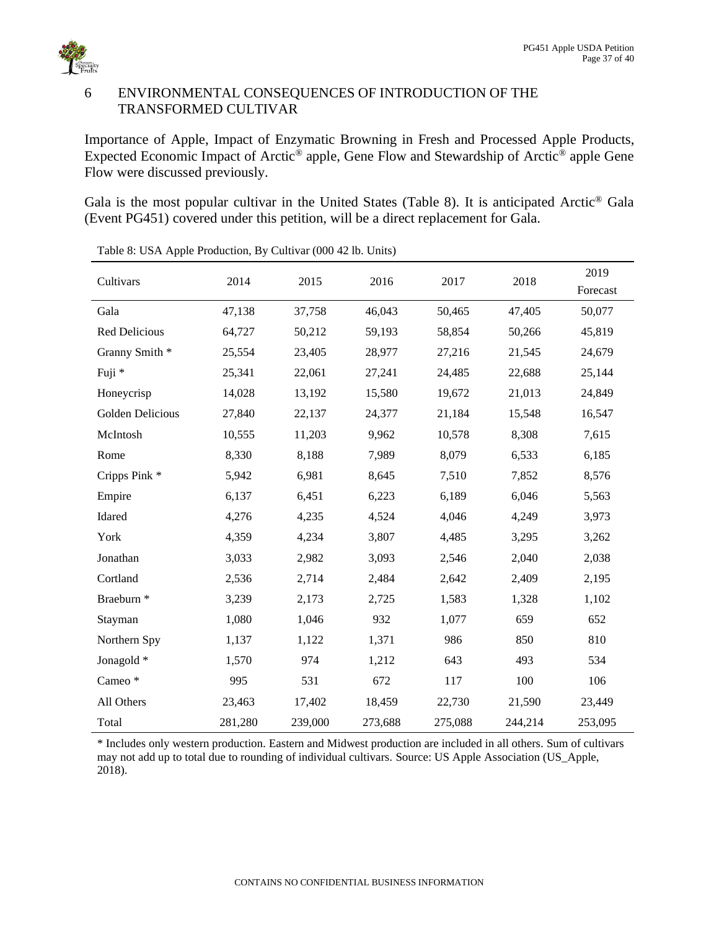

# <span id="page-36-0"></span>6 ENVIRONMENTAL CONSEQUENCES OF INTRODUCTION OF THE TRANSFORMED CULTIVAR

Importance of Apple, Impact of Enzymatic Browning in Fresh and Processed Apple Products, Expected Economic Impact of Arctic® apple, Gene Flow and Stewardship of Arctic® apple Gene Flow were discussed previously.

Gala is the most popular cultivar in the United States (Table 8). It is anticipated Arctic® Gala (Event PG451) covered under this petition, will be a direct replacement for Gala.

| Cultivars               | 2014    | 2015    | 2016    | 2017    | 2018    | 2019<br>Forecast |
|-------------------------|---------|---------|---------|---------|---------|------------------|
| Gala                    | 47,138  | 37,758  | 46,043  | 50,465  | 47,405  | 50,077           |
| Red Delicious           | 64,727  | 50,212  | 59,193  | 58,854  | 50,266  | 45,819           |
| Granny Smith *          | 25,554  | 23,405  | 28,977  | 27,216  | 21,545  | 24,679           |
| Fuji *                  | 25,341  | 22,061  | 27,241  | 24,485  | 22,688  | 25,144           |
| Honeycrisp              | 14,028  | 13,192  | 15,580  | 19,672  | 21,013  | 24,849           |
| <b>Golden Delicious</b> | 27,840  | 22,137  | 24,377  | 21,184  | 15,548  | 16,547           |
| McIntosh                | 10,555  | 11,203  | 9,962   | 10,578  | 8,308   | 7,615            |
| Rome                    | 8,330   | 8,188   | 7,989   | 8,079   | 6,533   | 6,185            |
| Cripps Pink*            | 5,942   | 6,981   | 8,645   | 7,510   | 7,852   | 8,576            |
| Empire                  | 6,137   | 6,451   | 6,223   | 6,189   | 6,046   | 5,563            |
| Idared                  | 4,276   | 4,235   | 4,524   | 4,046   | 4,249   | 3,973            |
| York                    | 4,359   | 4,234   | 3,807   | 4,485   | 3,295   | 3,262            |
| Jonathan                | 3,033   | 2,982   | 3,093   | 2,546   | 2,040   | 2,038            |
| Cortland                | 2,536   | 2,714   | 2,484   | 2,642   | 2,409   | 2,195            |
| Braeburn <sup>*</sup>   | 3,239   | 2,173   | 2,725   | 1,583   | 1,328   | 1,102            |
| Stayman                 | 1,080   | 1,046   | 932     | 1,077   | 659     | 652              |
| Northern Spy            | 1,137   | 1,122   | 1,371   | 986     | 850     | 810              |
| Jonagold *              | 1,570   | 974     | 1,212   | 643     | 493     | 534              |
| Cameo*                  | 995     | 531     | 672     | 117     | 100     | 106              |
| All Others              | 23,463  | 17,402  | 18,459  | 22,730  | 21,590  | 23,449           |
| Total                   | 281,280 | 239,000 | 273,688 | 275,088 | 244,214 | 253,095          |

<span id="page-36-1"></span>Table 8: USA Apple Production, By Cultivar (000 42 lb. Units)

\* Includes only western production. Eastern and Midwest production are included in all others. Sum of cultivars may not add up to total due to rounding of individual cultivars. Source: US Apple Association (US\_Apple, 2018).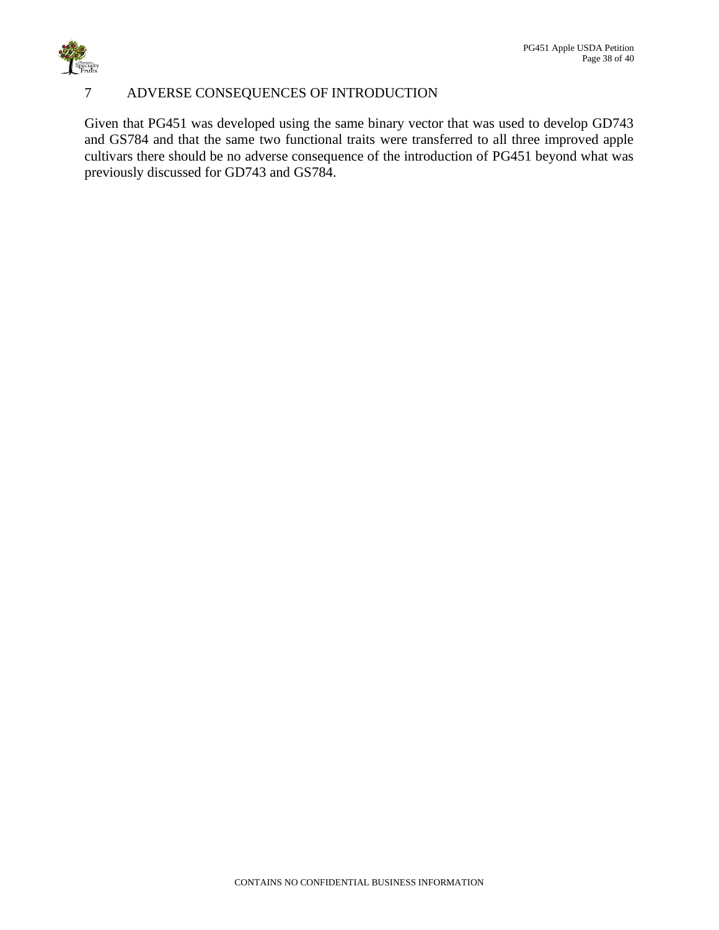

# <span id="page-37-0"></span>7 ADVERSE CONSEQUENCES OF INTRODUCTION

Given that PG451 was developed using the same binary vector that was used to develop GD743 and GS784 and that the same two functional traits were transferred to all three improved apple cultivars there should be no adverse consequence of the introduction of PG451 beyond what was previously discussed for GD743 and GS784.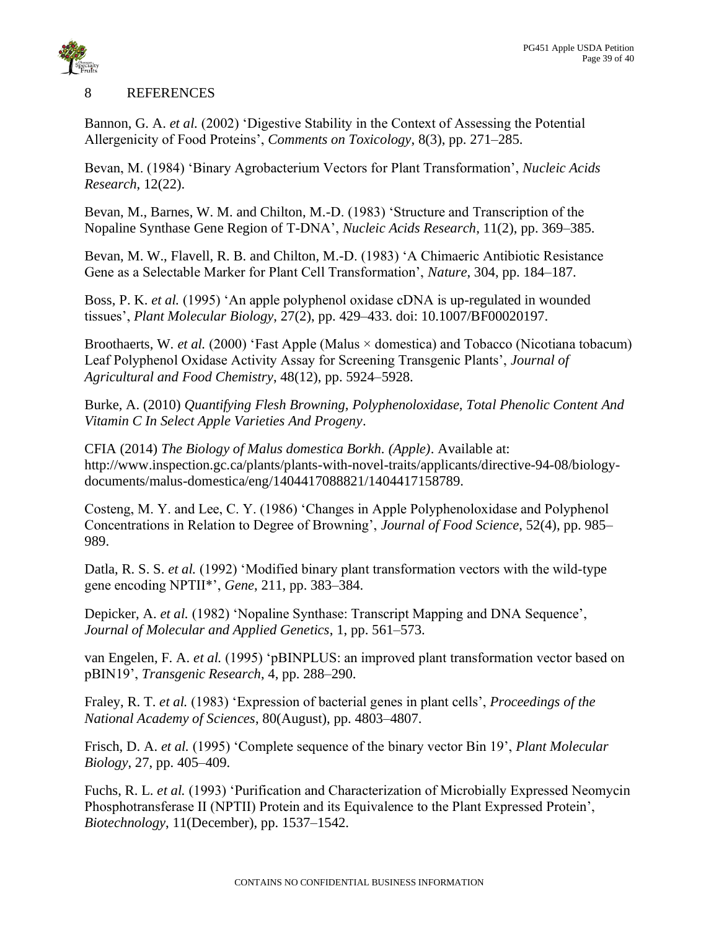

### <span id="page-38-0"></span>8 REFERENCES

Bannon, G. A. *et al.* (2002) 'Digestive Stability in the Context of Assessing the Potential Allergenicity of Food Proteins', *Comments on Toxicology*, 8(3), pp. 271–285.

Bevan, M. (1984) 'Binary Agrobacterium Vectors for Plant Transformation', *Nucleic Acids Research*, 12(22).

Bevan, M., Barnes, W. M. and Chilton, M.-D. (1983) 'Structure and Transcription of the Nopaline Synthase Gene Region of T-DNA', *Nucleic Acids Research*, 11(2), pp. 369–385.

Bevan, M. W., Flavell, R. B. and Chilton, M.-D. (1983) 'A Chimaeric Antibiotic Resistance Gene as a Selectable Marker for Plant Cell Transformation', *Nature*, 304, pp. 184–187.

Boss, P. K. *et al.* (1995) 'An apple polyphenol oxidase cDNA is up-regulated in wounded tissues', *Plant Molecular Biology*, 27(2), pp. 429–433. doi: 10.1007/BF00020197.

Broothaerts, W. *et al.* (2000) 'Fast Apple (Malus × domestica) and Tobacco (Nicotiana tobacum) Leaf Polyphenol Oxidase Activity Assay for Screening Transgenic Plants', *Journal of Agricultural and Food Chemistry*, 48(12), pp. 5924–5928.

Burke, A. (2010) *Quantifying Flesh Browning, Polyphenoloxidase, Total Phenolic Content And Vitamin C In Select Apple Varieties And Progeny*.

CFIA (2014) *The Biology of Malus domestica Borkh. (Apple)*. Available at: http://www.inspection.gc.ca/plants/plants-with-novel-traits/applicants/directive-94-08/biologydocuments/malus-domestica/eng/1404417088821/1404417158789.

Costeng, M. Y. and Lee, C. Y. (1986) 'Changes in Apple Polyphenoloxidase and Polyphenol Concentrations in Relation to Degree of Browning', *Journal of Food Science*, 52(4), pp. 985– 989.

Datla, R. S. S. *et al.* (1992) 'Modified binary plant transformation vectors with the wild-type gene encoding NPTII\*', *Gene*, 211, pp. 383–384.

Depicker, A. *et al.* (1982) 'Nopaline Synthase: Transcript Mapping and DNA Sequence', *Journal of Molecular and Applied Genetics*, 1, pp. 561–573.

van Engelen, F. A. *et al.* (1995) 'pBINPLUS: an improved plant transformation vector based on pBIN19', *Transgenic Research*, 4, pp. 288–290.

Fraley, R. T. *et al.* (1983) 'Expression of bacterial genes in plant cells', *Proceedings of the National Academy of Sciences*, 80(August), pp. 4803–4807.

Frisch, D. A. *et al.* (1995) 'Complete sequence of the binary vector Bin 19', *Plant Molecular Biology*, 27, pp. 405–409.

Fuchs, R. L. *et al.* (1993) 'Purification and Characterization of Microbially Expressed Neomycin Phosphotransferase II (NPTII) Protein and its Equivalence to the Plant Expressed Protein', *Biotechnology*, 11(December), pp. 1537–1542.